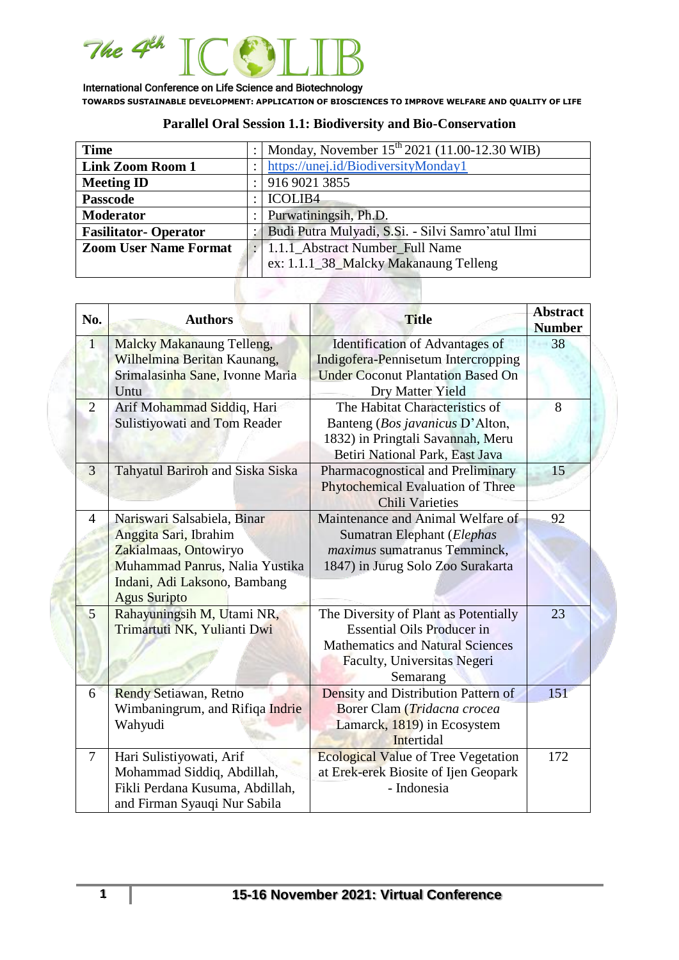

# **Parallel Oral Session 1.1: Biodiversity and Bio-Conservation**

| <b>Time</b>                  |                                                   | Monday, November $15^{th}$ 2021 (11.00-12.30 WIB) |  |
|------------------------------|---------------------------------------------------|---------------------------------------------------|--|
| <b>Link Zoom Room 1</b>      |                                                   | https://unej.id/BiodiversityMonday1               |  |
| <b>Meeting ID</b>            |                                                   | 916 9021 3855                                     |  |
| <b>Passcode</b>              |                                                   | <b>ICOLIB4</b>                                    |  |
| <b>Moderator</b>             |                                                   | Purwatiningsih, Ph.D.                             |  |
| <b>Fasilitator-Operator</b>  | Budi Putra Mulyadi, S.Si. - Silvi Samro'atul Ilmi |                                                   |  |
| <b>Zoom User Name Format</b> |                                                   | 1.1.1 Abstract Number Full Name                   |  |
|                              |                                                   | ex: 1.1.1_38_Malcky Makanaung Telleng             |  |
|                              |                                                   |                                                   |  |

| No.            | <b>Authors</b>                                                                                                                                                         | <b>Title</b>                                                                                                                                                     | <b>Abstract</b><br><b>Number</b> |
|----------------|------------------------------------------------------------------------------------------------------------------------------------------------------------------------|------------------------------------------------------------------------------------------------------------------------------------------------------------------|----------------------------------|
| $\overline{1}$ | <b>Malcky Makanaung Telleng,</b><br>Wilhelmina Beritan Kaunang,<br>Srimalasinha Sane, Ivonne Maria<br>Untu                                                             | <b>Identification of Advantages of</b><br>Indigofera-Pennisetum Intercropping<br><b>Under Coconut Plantation Based On</b><br>Dry Matter Yield                    | 38                               |
| $\overline{2}$ | Arif Mohammad Siddiq, Hari<br>Sulistiyowati and Tom Reader                                                                                                             | The Habitat Characteristics of<br>Banteng (Bos javanicus D'Alton,<br>1832) in Pringtali Savannah, Meru<br>Betiri National Park, East Java                        | 8                                |
| 3              | Tahyatul Bariroh and Siska Siska                                                                                                                                       | Pharmacognostical and Preliminary<br><b>Phytochemical Evaluation of Three</b><br><b>Chili Varieties</b>                                                          | 15                               |
| $\overline{4}$ | Nariswari Salsabiela, Binar<br>Anggita Sari, Ibrahim<br>Zakialmaas, Ontowiryo<br>Muhammad Panrus, Nalia Yustika<br>Indani, Adi Laksono, Bambang<br><b>Agus Suripto</b> | Maintenance and Animal Welfare of<br>Sumatran Elephant (Elephas<br>maximus sumatranus Temminck,<br>1847) in Jurug Solo Zoo Surakarta                             | 92                               |
| 5              | Rahayuningsih M, Utami NR,<br>Trimartuti NK, Yulianti Dwi                                                                                                              | The Diversity of Plant as Potentially<br><b>Essential Oils Producer in</b><br><b>Mathematics and Natural Sciences</b><br>Faculty, Universitas Negeri<br>Semarang | 23                               |
| 6              | <b>Rendy Setiawan, Retno</b><br>Wimbaningrum, and Rifiqa Indrie<br>Wahyudi                                                                                             | Density and Distribution Pattern of<br>Borer Clam (Tridacna crocea<br>Lamarck, 1819) in Ecosystem<br>Intertidal                                                  | 151                              |
| 7              | Hari Sulistiyowati, Arif<br>Mohammad Siddiq, Abdillah,<br>Fikli Perdana Kusuma, Abdillah,<br>and Firman Syauqi Nur Sabila                                              | <b>Ecological Value of Tree Vegetation</b><br>at Erek-erek Biosite of Ijen Geopark<br>- Indonesia                                                                | 172                              |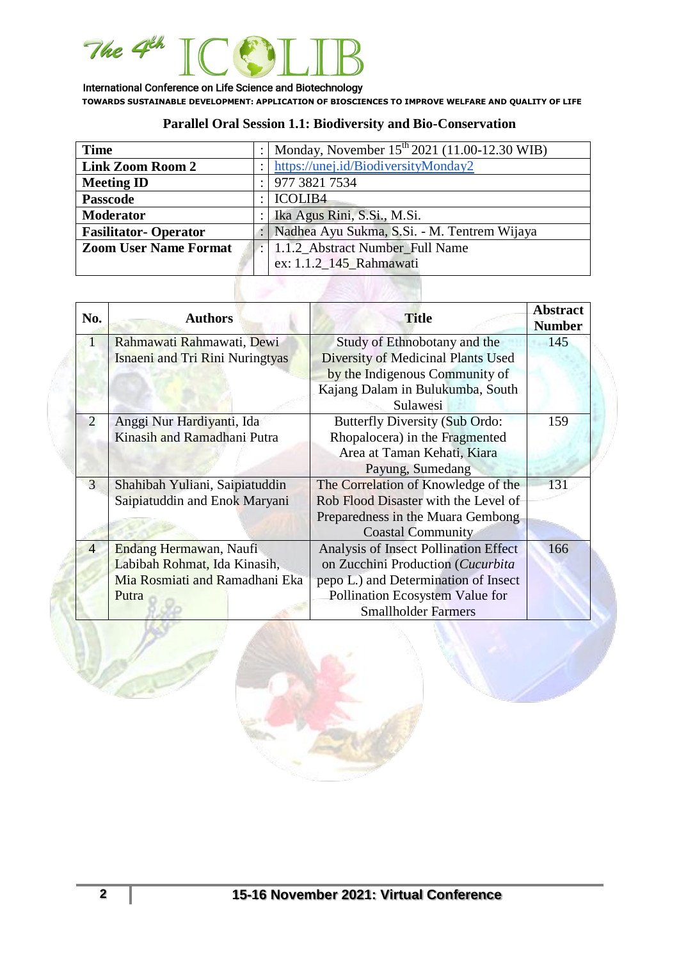

# **Parallel Oral Session 1.1: Biodiversity and Bio-Conservation**

| <b>Time</b>                  | Monday, November $15^{th}$ 2021 (11.00-12.30 WIB) |
|------------------------------|---------------------------------------------------|
| <b>Link Zoom Room 2</b>      | https://unej.id/BiodiversityMonday2               |
| <b>Meeting ID</b>            | 977 3821 7534                                     |
| <b>Passcode</b>              | <b>ICOLIB4</b>                                    |
| <b>Moderator</b>             | Ika Agus Rini, S.Si., M.Si.                       |
| <b>Fasilitator-Operator</b>  | Nadhea Ayu Sukma, S.Si. - M. Tentrem Wijaya       |
| <b>Zoom User Name Format</b> | 1.1.2_Abstract Number_Full Name                   |
|                              | ex: 1.1.2_145_Rahmawati                           |
|                              |                                                   |
|                              |                                                   |

| No.            | <b>Authors</b>                         | <b>Title</b>                              | <b>Abstract</b><br><b>Number</b> |
|----------------|----------------------------------------|-------------------------------------------|----------------------------------|
|                | Rahmawati Rahmawati, Dewi              | Study of Ethnobotany and the              | 145                              |
|                | <b>Isnaeni and Tri Rini Nuringtyas</b> | <b>Diversity of Medicinal Plants Used</b> |                                  |
|                |                                        | by the Indigenous Community of            |                                  |
|                |                                        | Kajang Dalam in Bulukumba, South          |                                  |
|                |                                        | Sulawesi                                  |                                  |
| $\overline{2}$ | Anggi Nur Hardiyanti, Ida              | Butterfly Diversity (Sub Ordo:            | 159                              |
|                | Kinasih and Ramadhani Putra            | Rhopalocera) in the Fragmented            |                                  |
|                |                                        | Area at Taman Kehati, Kiara               |                                  |
|                |                                        | Payung, Sumedang                          |                                  |
| 3              | Shahibah Yuliani, Saipiatuddin         | The Correlation of Knowledge of the       | 131                              |
|                | Saipiatuddin and Enok Maryani          | Rob Flood Disaster with the Level of      |                                  |
|                |                                        | Preparedness in the Muara Gembong         |                                  |
|                |                                        | <b>Coastal Community</b>                  |                                  |
| $\overline{4}$ | Endang Hermawan, Naufi                 | Analysis of Insect Pollination Effect     | 166                              |
|                | Labibah Rohmat, Ida Kinasih,           | on Zucchini Production (Cucurbita         |                                  |
|                | Mia Rosmiati and Ramadhani Eka         | pepo L.) and Determination of Insect      |                                  |
|                | Putra                                  | Pollination Ecosystem Value for           |                                  |
|                |                                        | <b>Smallholder Farmers</b>                |                                  |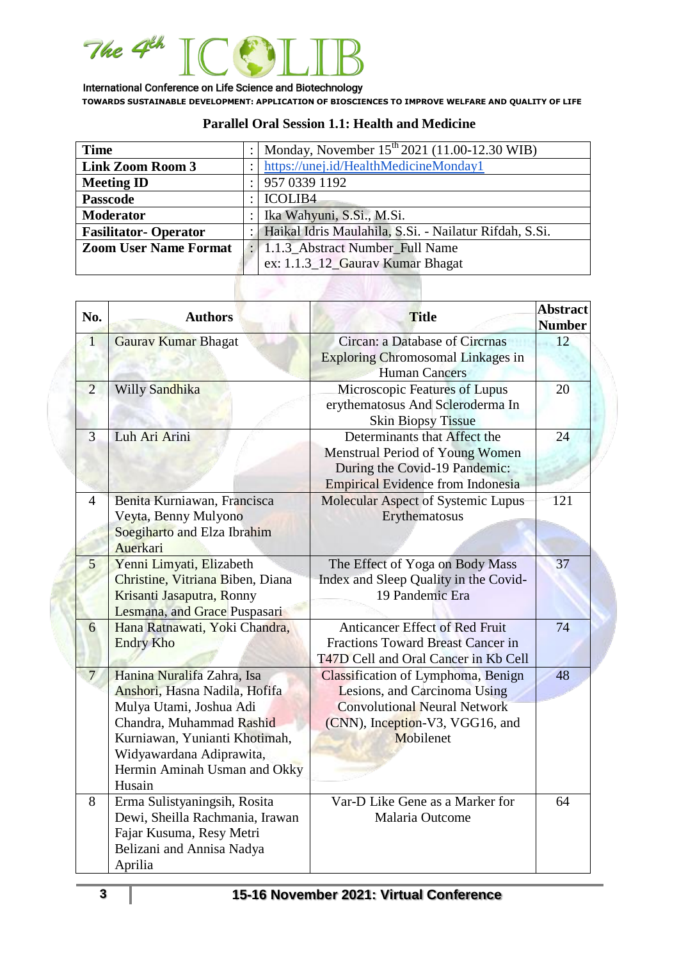

| <b>Time</b>                  |                                                        | Monday, November 15 <sup>th</sup> 2021 (11.00-12.30 WIB) |
|------------------------------|--------------------------------------------------------|----------------------------------------------------------|
| <b>Link Zoom Room 3</b>      |                                                        | https://unej.id/HealthMedicineMonday1                    |
| <b>Meeting ID</b>            |                                                        | 957 0339 1192                                            |
| <b>Passcode</b>              |                                                        | <b>ICOLIB4</b>                                           |
| <b>Moderator</b>             |                                                        | Ika Wahyuni, S.Si., M.Si.                                |
| <b>Fasilitator-Operator</b>  | Haikal Idris Maulahila, S.Si. - Nailatur Rifdah, S.Si. |                                                          |
| <b>Zoom User Name Format</b> |                                                        | : 1.1.3_Abstract Number_Full Name                        |
|                              |                                                        | ex: 1.1.3_12_Gaurav Kumar Bhagat                         |

### **Parallel Oral Session 1.1: Health and Medicine**

| No.            | <b>Authors</b>                                                                                                                                                                                                            | <b>Title</b>                                                                                                                                              | <b>Abstract</b><br><b>Number</b> |
|----------------|---------------------------------------------------------------------------------------------------------------------------------------------------------------------------------------------------------------------------|-----------------------------------------------------------------------------------------------------------------------------------------------------------|----------------------------------|
| $\overline{1}$ | Gauray Kumar Bhagat                                                                                                                                                                                                       | <b>Circan: a Database of Circrnas</b><br><b>Exploring Chromosomal Linkages in</b><br><b>Human Cancers</b>                                                 | 12                               |
| $\overline{2}$ | Willy Sandhika                                                                                                                                                                                                            | Microscopic Features of Lupus<br>erythematosus And Scleroderma In<br><b>Skin Biopsy Tissue</b>                                                            | 20                               |
| 3              | Luh Ari Arini                                                                                                                                                                                                             | Determinants that Affect the<br>Menstrual Period of Young Women<br>During the Covid-19 Pandemic:<br><b>Empirical Evidence from Indonesia</b>              | 24                               |
| 4              | Benita Kurniawan, Francisca<br>Veyta, Benny Mulyono<br>Soegiharto and Elza Ibrahim<br>Auerkari                                                                                                                            | Molecular Aspect of Systemic Lupus<br>Erythematosus                                                                                                       | 121                              |
| 5              | Yenni Limyati, Elizabeth<br>Christine, Vitriana Biben, Diana<br>Krisanti Jasaputra, Ronny<br>Lesmana, and Grace Puspasari                                                                                                 | The Effect of Yoga on Body Mass<br>Index and Sleep Quality in the Covid-<br>19 Pandemic Era                                                               | 37                               |
| 6              | Hana Ratnawati, Yoki Chandra,<br><b>Endry Kho</b>                                                                                                                                                                         | <b>Anticancer Effect of Red Fruit</b><br><b>Fractions Toward Breast Cancer in</b><br>T47D Cell and Oral Cancer in Kb Cell                                 | 74                               |
| 7 <sup>1</sup> | Hanina Nuralifa Zahra, Isa<br>Anshori, Hasna Nadila, Hofifa<br>Mulya Utami, Joshua Adi<br>Chandra, Muhammad Rashid<br>Kurniawan, Yunianti Khotimah,<br>Widyawardana Adiprawita,<br>Hermin Aminah Usman and Okky<br>Husain | Classification of Lymphoma, Benign<br>Lesions, and Carcinoma Using<br><b>Convolutional Neural Network</b><br>(CNN), Inception-V3, VGG16, and<br>Mobilenet | 48                               |
| 8              | Erma Sulistyaningsih, Rosita<br>Dewi, Sheilla Rachmania, Irawan<br>Fajar Kusuma, Resy Metri<br>Belizani and Annisa Nadya<br>Aprilia                                                                                       | Var-D Like Gene as a Marker for<br>Malaria Outcome                                                                                                        | 64                               |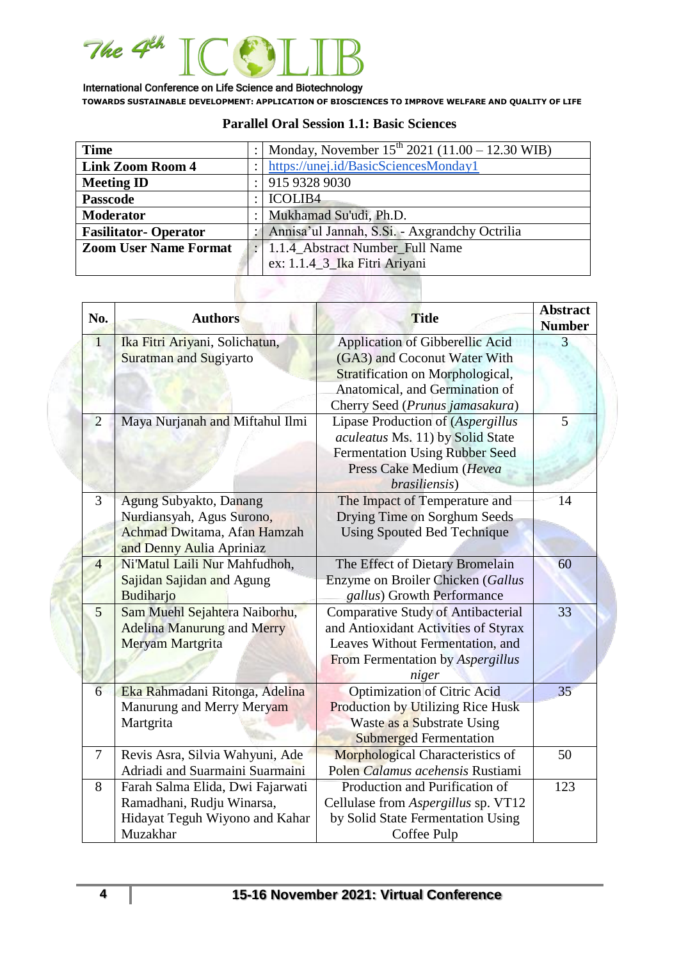

| <b>Time</b>                  |  | Monday, November $15^{th}$ 2021 (11.00 – 12.30 WIB) |
|------------------------------|--|-----------------------------------------------------|
| <b>Link Zoom Room 4</b>      |  | https://unej.id/BasicSciencesMonday1                |
| <b>Meeting ID</b>            |  | 915 9328 9030                                       |
| <b>Passcode</b>              |  | <b>ICOLIB4</b>                                      |
| <b>Moderator</b>             |  | Mukhamad Su'udi, Ph.D.                              |
| <b>Fasilitator-Operator</b>  |  | Annisa'ul Jannah, S.Si. - Axgrandchy Octrilia       |
| <b>Zoom User Name Format</b> |  | 1.1.4_Abstract Number_Full Name                     |
|                              |  | ex: 1.1.4_3_Ika Fitri Ariyani                       |

#### **Parallel Oral Session 1.1: Basic Sciences**

| No.            | <b>Authors</b>                    | <b>Title</b>                              | <b>Abstract</b><br><b>Number</b> |
|----------------|-----------------------------------|-------------------------------------------|----------------------------------|
| $\overline{1}$ | Ika Fitri Ariyani, Solichatun,    | Application of Gibberellic Acid           | 3                                |
|                | <b>Suratman and Sugiyarto</b>     | (GA3) and Coconut Water With              |                                  |
|                |                                   | Stratification on Morphological,          |                                  |
|                |                                   | Anatomical, and Germination of            |                                  |
|                |                                   | Cherry Seed (Prunus jamasakura)           |                                  |
| $\overline{2}$ | Maya Nurjanah and Miftahul Ilmi   | Lipase Production of (Aspergillus         | 5                                |
|                |                                   | aculeatus Ms. 11) by Solid State          |                                  |
|                |                                   | <b>Fermentation Using Rubber Seed</b>     |                                  |
|                |                                   | Press Cake Medium (Hevea                  |                                  |
|                |                                   | brasiliensis)                             |                                  |
| 3              | Agung Subyakto, Danang            | The Impact of Temperature and             | 14                               |
|                | Nurdiansyah, Agus Surono,         | Drying Time on Sorghum Seeds              |                                  |
|                | Achmad Dwitama, Afan Hamzah       | <b>Using Spouted Bed Technique</b>        |                                  |
|                | and Denny Aulia Apriniaz          |                                           |                                  |
| 4              | Ni'Matul Laili Nur Mahfudhoh,     | The Effect of Dietary Bromelain           | 60                               |
|                | Sajidan Sajidan and Agung         | Enzyme on Broiler Chicken (Gallus         |                                  |
|                | Budiharjo                         | gallus) Growth Performance                |                                  |
| 5              | Sam Muehl Sejahtera Naiborhu,     | <b>Comparative Study of Antibacterial</b> | 33                               |
|                | <b>Adelina Manurung and Merry</b> | and Antioxidant Activities of Styrax      |                                  |
|                | Meryam Martgrita                  | Leaves Without Fermentation, and          |                                  |
|                |                                   | From Fermentation by Aspergillus          |                                  |
|                |                                   | niger                                     |                                  |
| 6              | Eka Rahmadani Ritonga, Adelina    | <b>Optimization of Citric Acid</b>        | 35 <sup>°</sup>                  |
|                | Manurung and Merry Meryam         | Production by Utilizing Rice Husk         |                                  |
|                | Martgrita                         | Waste as a Substrate Using                |                                  |
|                |                                   | <b>Submerged Fermentation</b>             |                                  |
| $\tau$         | Revis Asra, Silvia Wahyuni, Ade   | <b>Morphological Characteristics of</b>   | 50                               |
|                | Adriadi and Suarmaini Suarmaini   | Polen Calamus acehensis Rustiami          |                                  |
| 8              | Farah Salma Elida, Dwi Fajarwati  | Production and Purification of            | 123                              |
|                | Ramadhani, Rudju Winarsa,         | Cellulase from Aspergillus sp. VT12       |                                  |
|                | Hidayat Teguh Wiyono and Kahar    | by Solid State Fermentation Using         |                                  |
|                | Muzakhar                          | Coffee Pulp                               |                                  |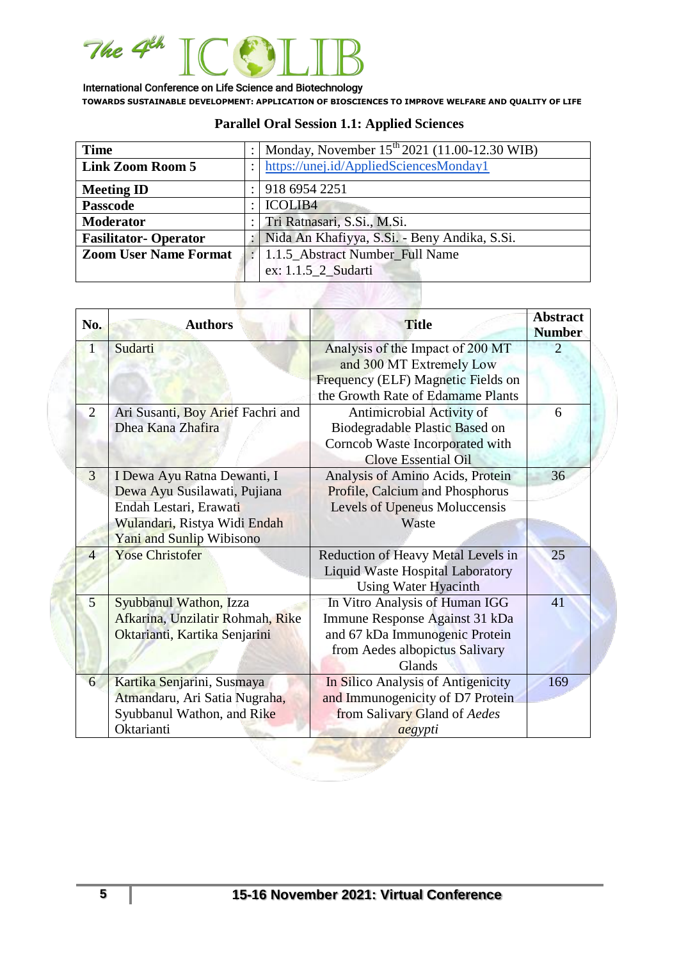

| <b>Time</b>                                                     |  | Monday, November 15 <sup>th</sup> 2021 (11.00-12.30 WIB) |  |
|-----------------------------------------------------------------|--|----------------------------------------------------------|--|
| <b>Link Zoom Room 5</b>                                         |  | https://unej.id/AppliedSciencesMonday1                   |  |
| <b>Meeting ID</b>                                               |  | 918 6954 2251                                            |  |
| <b>Passcode</b>                                                 |  | <b>ICOLIB4</b>                                           |  |
| <b>Moderator</b>                                                |  | Tri Ratnasari, S.Si., M.Si.                              |  |
| <b>Fasilitator-Operator</b>                                     |  | Nida An Khafiyya, S.Si. - Beny Andika, S.Si.             |  |
| <b>Zoom User Name Format</b><br>1.1.5_Abstract Number_Full Name |  |                                                          |  |
|                                                                 |  | ex: 1.1.5 2 Sudarti                                      |  |

# **Parallel Oral Session 1.1: Applied Sciences**

| No.            | <b>Authors</b>                                                                                                                                    | <b>Title</b>                                                                                                                                   | <b>Abstract</b><br><b>Number</b> |
|----------------|---------------------------------------------------------------------------------------------------------------------------------------------------|------------------------------------------------------------------------------------------------------------------------------------------------|----------------------------------|
| 1              | Sudarti                                                                                                                                           | Analysis of the Impact of 200 MT<br>and 300 MT Extremely Low<br>Frequency (ELF) Magnetic Fields on<br>the Growth Rate of Edamame Plants        | $\mathcal{D}_{\mathcal{A}}$      |
| $\overline{2}$ | Ari Susanti, Boy Arief Fachri and<br>Dhea Kana Zhafira                                                                                            | Antimicrobial Activity of<br>Biodegradable Plastic Based on<br>Corncob Waste Incorporated with<br><b>Clove Essential Oil</b>                   | 6                                |
| $\overline{3}$ | I Dewa Ayu Ratna Dewanti, I<br>Dewa Ayu Susilawati, Pujiana<br>Endah Lestari, Erawati<br>Wulandari, Ristya Widi Endah<br>Yani and Sunlip Wibisono | Analysis of Amino Acids, Protein<br>Profile, Calcium and Phosphorus<br>Levels of Upeneus Moluccensis<br>Waste                                  | 36                               |
| $\overline{4}$ | <b>Yose Christofer</b>                                                                                                                            | Reduction of Heavy Metal Levels in<br>Liquid Waste Hospital Laboratory<br><b>Using Water Hyacinth</b>                                          | 25                               |
| $\overline{5}$ | Syubbanul Wathon, Izza<br>Afkarina, Unzilatir Rohmah, Rike<br>Oktarianti, Kartika Senjarini                                                       | In Vitro Analysis of Human IGG<br>Immune Response Against 31 kDa<br>and 67 kDa Immunogenic Protein<br>from Aedes albopictus Salivary<br>Glands | 41                               |
| 6              | Kartika Senjarini, Susmaya<br>Atmandaru, Ari Satia Nugraha,<br>Syubbanul Wathon, and Rike<br>Oktarianti                                           | In Silico Analysis of Antigenicity<br>and Immunogenicity of D7 Protein<br>from Salivary Gland of Aedes<br>aegypti                              | 169                              |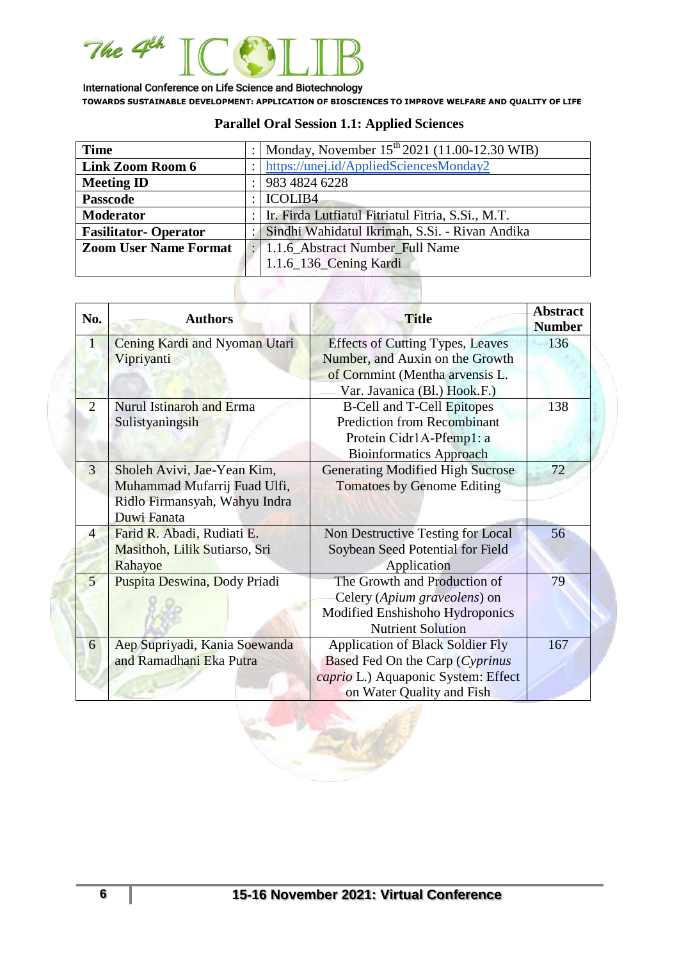

| <b>Time</b>                  |  | : Monday, November $15^{th}$ 2021 (11.00-12.30 WIB) |  |
|------------------------------|--|-----------------------------------------------------|--|
|                              |  |                                                     |  |
| <b>Link Zoom Room 6</b>      |  | https://unej.id/AppliedSciencesMonday2              |  |
| <b>Meeting ID</b>            |  | 983 4824 6228                                       |  |
| <b>Passcode</b>              |  | ICOLIB <sub>4</sub>                                 |  |
| <b>Moderator</b>             |  | Ir. Firda Lutfiatul Fitriatul Fitria, S.Si., M.T.   |  |
| <b>Fasilitator-Operator</b>  |  | Sindhi Wahidatul Ikrimah, S.Si. - Rivan Andika      |  |
| <b>Zoom User Name Format</b> |  | : 1.1.6_Abstract Number_Full Name                   |  |
|                              |  | 1.1.6_136_Cening Kardi                              |  |
|                              |  |                                                     |  |

# **Parallel Oral Session 1.1: Applied Sciences**

| No.            | <b>Authors</b>                                                                                              | <b>Title</b>                                                                                                                                   | <b>Abstract</b><br><b>Number</b> |
|----------------|-------------------------------------------------------------------------------------------------------------|------------------------------------------------------------------------------------------------------------------------------------------------|----------------------------------|
| $\overline{1}$ | Cening Kardi and Nyoman Utari<br>Vipriyanti                                                                 | <b>Effects of Cutting Types, Leaves</b><br>Number, and Auxin on the Growth<br>of Cornmint (Mentha arvensis L.<br>Var. Javanica (Bl.) Hook.F.)  | 136                              |
| $\overline{2}$ | Nurul Istinaroh and Erma<br>Sulistyaningsih                                                                 | <b>B-Cell and T-Cell Epitopes</b><br><b>Prediction from Recombinant</b><br>Protein Cidr1A-Pfemp1: a<br><b>Bioinformatics Approach</b>          | 138                              |
| 3              | Sholeh Avivi, Jae-Yean Kim,<br>Muhammad Mufarrij Fuad Ulfi,<br>Ridlo Firmansyah, Wahyu Indra<br>Duwi Fanata | <b>Generating Modified High Sucrose</b><br><b>Tomatoes by Genome Editing</b>                                                                   | 72                               |
| $\overline{4}$ | Farid R. Abadi, Rudiati E.<br>Masithoh, Lilik Sutiarso, Sri<br>Rahayoe                                      | Non Destructive Testing for Local<br>Soybean Seed Potential for Field<br>Application                                                           | 56                               |
| $\mathbf{5}$   | Puspita Deswina, Dody Priadi                                                                                | The Growth and Production of<br>Celery (Apium graveolens) on<br>Modified Enshishoho Hydroponics<br><b>Nutrient Solution</b>                    | 79                               |
| 6              | Aep Supriyadi, Kania Soewanda<br>and Ramadhani Eka Putra                                                    | <b>Application of Black Soldier Fly</b><br>Based Fed On the Carp (Cyprinus<br>caprio L.) Aquaponic System: Effect<br>on Water Quality and Fish | 167                              |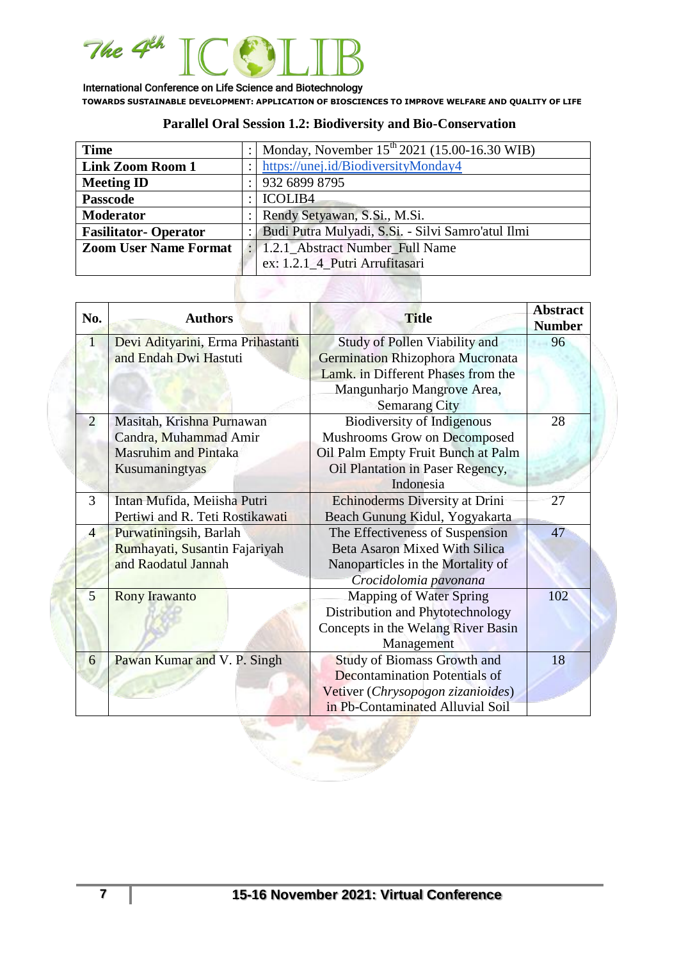

## **Parallel Oral Session 1.2: Biodiversity and Bio-Conservation**

| <b>Time</b>                  | Monday, November 15 <sup>th</sup> 2021 (15.00-16.30 WIB) |  |
|------------------------------|----------------------------------------------------------|--|
| <b>Link Zoom Room 1</b>      | https://unej.id/BiodiversityMonday4                      |  |
| <b>Meeting ID</b>            | 932 6899 8795                                            |  |
| <b>Passcode</b>              | <b>ICOLIB4</b>                                           |  |
| <b>Moderator</b>             | Rendy Setyawan, S.Si., M.Si.                             |  |
| <b>Fasilitator-Operator</b>  | Budi Putra Mulyadi, S.Si. - Silvi Samro'atul Ilmi        |  |
| <b>Zoom User Name Format</b> | : 1.2.1_Abstract Number_Full Name                        |  |
|                              | ex: 1.2.1_4_Putri Arrufitasari                           |  |
|                              |                                                          |  |
|                              |                                                          |  |

| No.            | <b>Authors</b>                    | <b>Title</b>                            | <b>Abstract</b><br><b>Number</b> |
|----------------|-----------------------------------|-----------------------------------------|----------------------------------|
| 1              | Devi Adityarini, Erma Prihastanti | Study of Pollen Viability and           | 96                               |
|                | and Endah Dwi Hastuti             | <b>Germination Rhizophora Mucronata</b> |                                  |
|                |                                   | Lamk. in Different Phases from the      |                                  |
|                |                                   | Mangunharjo Mangrove Area,              |                                  |
|                |                                   | <b>Semarang City</b>                    |                                  |
| 2              | Masitah, Krishna Purnawan         | <b>Biodiversity of Indigenous</b>       | 28                               |
|                | Candra, Muhammad Amir             | Mushrooms Grow on Decomposed            |                                  |
|                | <b>Masruhim and Pintaka</b>       | Oil Palm Empty Fruit Bunch at Palm      |                                  |
|                | Kusumaningtyas                    | Oil Plantation in Paser Regency,        |                                  |
|                |                                   | Indonesia                               |                                  |
| 3              | Intan Mufida, Meiisha Putri       | Echinoderms Diversity at Drini          | 27                               |
|                | Pertiwi and R. Teti Rostikawati   | Beach Gunung Kidul, Yogyakarta          |                                  |
| $\overline{4}$ | Purwatiningsih, Barlah            | The Effectiveness of Suspension         | 47                               |
|                | Rumhayati, Susantin Fajariyah     | <b>Beta Asaron Mixed With Silica</b>    |                                  |
|                | and Raodatul Jannah               | Nanoparticles in the Mortality of       |                                  |
|                |                                   | Crocidolomia pavonana                   |                                  |
| $\overline{5}$ | <b>Rony Irawanto</b>              | Mapping of Water Spring                 | 102                              |
|                |                                   | Distribution and Phytotechnology        |                                  |
|                |                                   | Concepts in the Welang River Basin      |                                  |
|                |                                   | Management                              |                                  |
| 6              | Pawan Kumar and V. P. Singh       | <b>Study of Biomass Growth and</b>      | 18                               |
|                |                                   | <b>Decontamination Potentials of</b>    |                                  |
|                |                                   | Vetiver (Chrysopogon zizanioides)       |                                  |
|                |                                   | in Pb-Contaminated Alluvial Soil        |                                  |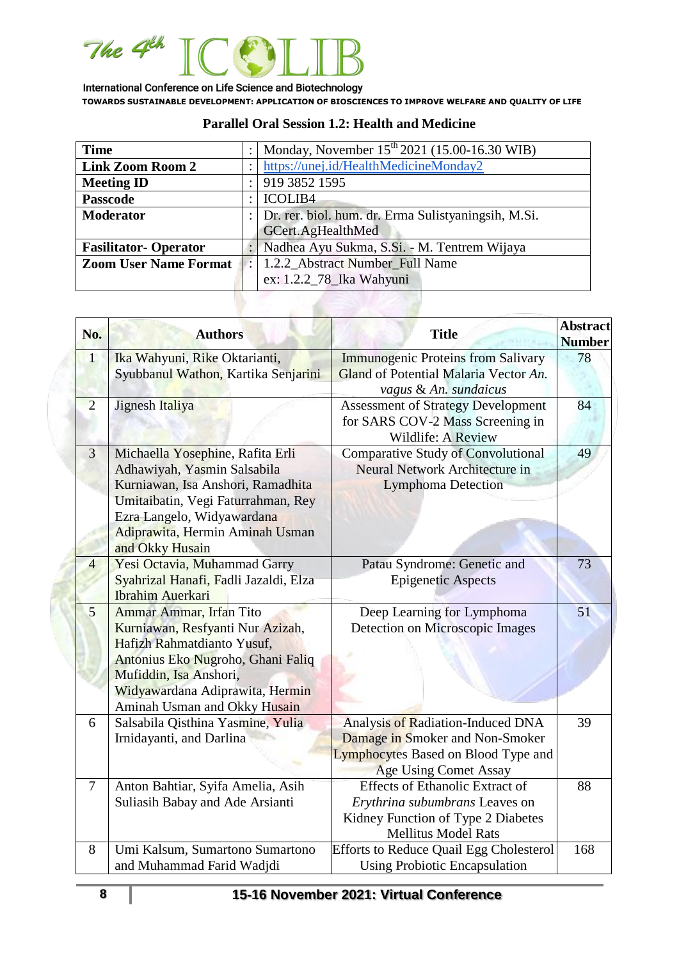

| <b>Time</b>                  |                                                     | Monday, November 15 <sup>th</sup> 2021 (15.00-16.30 WIB) |  |
|------------------------------|-----------------------------------------------------|----------------------------------------------------------|--|
| <b>Link Zoom Room 2</b>      |                                                     | https://unej.id/HealthMedicineMonday2                    |  |
| <b>Meeting ID</b>            |                                                     | 919 3852 1595                                            |  |
| <b>Passcode</b>              |                                                     | <b>ICOLIB4</b>                                           |  |
| <b>Moderator</b>             | Dr. rer. biol. hum. dr. Erma Sulistyaningsih, M.Si. |                                                          |  |
|                              |                                                     | GCert.AgHealthMed                                        |  |
| <b>Fasilitator-Operator</b>  |                                                     | Nadhea Ayu Sukma, S.Si. - M. Tentrem Wijaya              |  |
| <b>Zoom User Name Format</b> | 1.2.2 Abstract Number Full Name                     |                                                          |  |
|                              |                                                     | ex: 1.2.2_78_Ika Wahyuni                                 |  |

×.

### **Parallel Oral Session 1.2: Health and Medicine**

| No.            | <b>Authors</b>                                                                                                                                                                                                                 | <b>Title</b>                                                                                                                                 | <b>Abstract</b><br><b>Number</b> |
|----------------|--------------------------------------------------------------------------------------------------------------------------------------------------------------------------------------------------------------------------------|----------------------------------------------------------------------------------------------------------------------------------------------|----------------------------------|
| $\mathbf{1}$   | Ika Wahyuni, Rike Oktarianti,<br>Syubbanul Wathon, Kartika Senjarini                                                                                                                                                           | <b>Immunogenic Proteins from Salivary</b><br>Gland of Potential Malaria Vector An.<br>vagus & An. sundaicus                                  | 78                               |
| $\overline{2}$ | Jignesh Italiya                                                                                                                                                                                                                | <b>Assessment of Strategy Development</b><br>for SARS COV-2 Mass Screening in<br>Wildlife: A Review                                          | 84                               |
| $\overline{3}$ | Michaella Yosephine, Rafita Erli<br>Adhawiyah, Yasmin Salsabila<br>Kurniawan, Isa Anshori, Ramadhita<br>Umitaibatin, Vegi Faturrahman, Rey<br>Ezra Langelo, Widyawardana<br>Adiprawita, Hermin Aminah Usman<br>and Okky Husain | <b>Comparative Study of Convolutional</b><br>Neural Network Architecture in<br><b>Lymphoma Detection</b>                                     | 49                               |
| $\overline{4}$ | Yesi Octavia, Muhammad Garry<br>Syahrizal Hanafi, Fadli Jazaldi, Elza<br><b>Ibrahim Auerkari</b>                                                                                                                               | Patau Syndrome: Genetic and<br><b>Epigenetic Aspects</b>                                                                                     | 73                               |
| $\overline{5}$ | Ammar Ammar, Irfan Tito<br>Kurniawan, Resfyanti Nur Azizah,<br>Hafizh Rahmatdianto Yusuf,<br>Antonius Eko Nugroho, Ghani Faliq<br>Mufiddin, Isa Anshori,<br>Widyawardana Adiprawita, Hermin<br>Aminah Usman and Okky Husain    | Deep Learning for Lymphoma<br>Detection on Microscopic Images                                                                                | 51                               |
| 6              | Salsabila Qisthina Yasmine, Yulia<br>Irnidayanti, and Darlina                                                                                                                                                                  | Analysis of Radiation-Induced DNA<br>Damage in Smoker and Non-Smoker<br>Lymphocytes Based on Blood Type and<br><b>Age Using Comet Assay</b>  | 39                               |
| $\tau$         | Anton Bahtiar, Syifa Amelia, Asih<br>Suliasih Babay and Ade Arsianti                                                                                                                                                           | <b>Effects of Ethanolic Extract of</b><br>Erythrina subumbrans Leaves on<br>Kidney Function of Type 2 Diabetes<br><b>Mellitus Model Rats</b> | 88                               |
| 8              | Umi Kalsum, Sumartono Sumartono<br>and Muhammad Farid Wadjdi                                                                                                                                                                   | <b>Efforts to Reduce Quail Egg Cholesterol</b><br><b>Using Probiotic Encapsulation</b>                                                       | 168                              |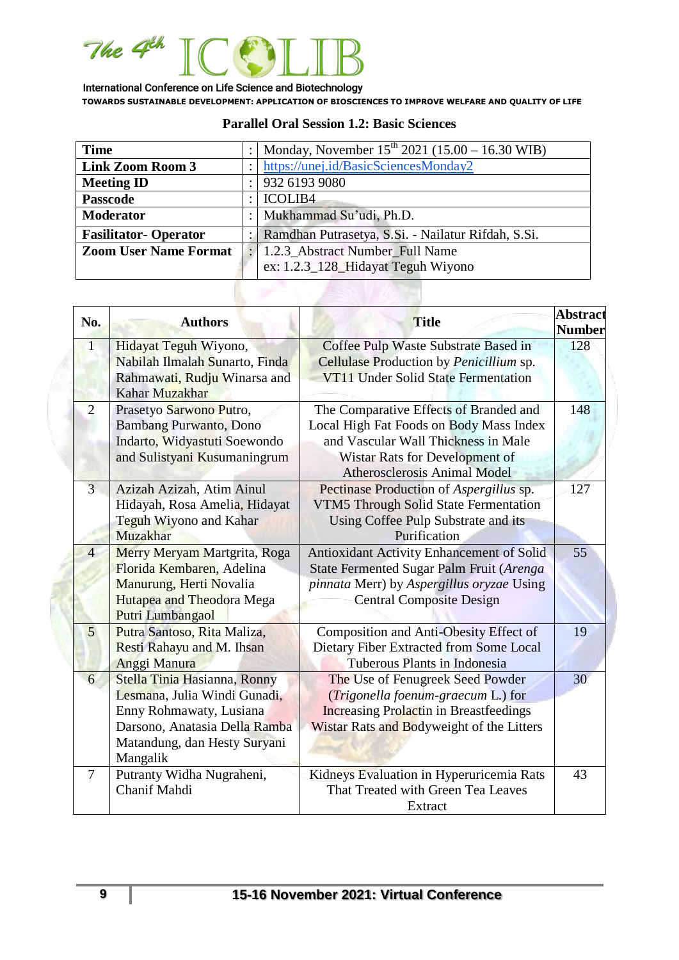

| <b>Time</b>                                                     |  | Monday, November $15^{th}$ 2021 (15.00 – 16.30 WIB) |  |
|-----------------------------------------------------------------|--|-----------------------------------------------------|--|
| <b>Link Zoom Room 3</b>                                         |  | https://unej.id/BasicSciencesMonday2                |  |
| <b>Meeting ID</b>                                               |  | 932 6193 9080                                       |  |
| <b>Passcode</b>                                                 |  | <b>ICOLIB4</b>                                      |  |
| <b>Moderator</b>                                                |  | Mukhammad Su'udi, Ph.D.                             |  |
| <b>Fasilitator-Operator</b>                                     |  | Ramdhan Putrasetya, S.Si. - Nailatur Rifdah, S.Si.  |  |
| <b>Zoom User Name Format</b><br>1.2.3 Abstract Number Full Name |  |                                                     |  |
| ex: 1.2.3_128_Hidayat Teguh Wiyono                              |  |                                                     |  |

#### **Parallel Oral Session 1.2: Basic Sciences**

| No.             | <b>Authors</b>                                 | <b>Title</b>                                  | <b>Abstract</b><br><b>Number</b> |
|-----------------|------------------------------------------------|-----------------------------------------------|----------------------------------|
| $\mathbf{1}$    | Hidayat Teguh Wiyono,                          | Coffee Pulp Waste Substrate Based in          | 128                              |
|                 | Nabilah Ilmalah Sunarto, Finda                 | Cellulase Production by Penicillium sp.       |                                  |
|                 | Rahmawati, Rudju Winarsa and<br>Kahar Muzakhar | VT11 Under Solid State Fermentation           |                                  |
| $\overline{2}$  | Prasetyo Sarwono Putro,                        | The Comparative Effects of Branded and        | 148                              |
|                 | <b>Bambang Purwanto, Dono</b>                  | Local High Fat Foods on Body Mass Index       |                                  |
|                 | Indarto, Widyastuti Soewondo                   | and Vascular Wall Thickness in Male           |                                  |
|                 | and Sulistyani Kusumaningrum                   | Wistar Rats for Development of                |                                  |
|                 |                                                | <b>Atherosclerosis Animal Model</b>           |                                  |
| 3               | Azizah Azizah, Atim Ainul                      | Pectinase Production of Aspergillus sp.       | 127                              |
|                 | Hidayah, Rosa Amelia, Hidayat                  | VTM5 Through Solid State Fermentation         |                                  |
|                 | Teguh Wiyono and Kahar                         | Using Coffee Pulp Substrate and its           |                                  |
|                 | Muzakhar                                       | Purification                                  |                                  |
| $\overline{4}$  | Merry Meryam Martgrita, Roga                   | Antioxidant Activity Enhancement of Solid     | 55                               |
|                 | Florida Kembaren, Adelina                      | State Fermented Sugar Palm Fruit (Arenga      |                                  |
|                 | Manurung, Herti Novalia                        | pinnata Merr) by Aspergillus oryzae Using     |                                  |
|                 | Hutapea and Theodora Mega<br>Putri Lumbangaol  | <b>Central Composite Design</b>               |                                  |
| $5\overline{)}$ | Putra Santoso, Rita Maliza,                    | Composition and Anti-Obesity Effect of        | 19                               |
|                 | Resti Rahayu and M. Ihsan                      | Dietary Fiber Extracted from Some Local       |                                  |
|                 | Anggi Manura                                   | Tuberous Plants in Indonesia                  |                                  |
| 6               | Stella Tinia Hasianna, Ronny                   | The Use of Fenugreek Seed Powder              | 30                               |
|                 | Lesmana, Julia Windi Gunadi,                   | (Trigonella foenum-graecum L.) for            |                                  |
|                 | Enny Rohmawaty, Lusiana                        | <b>Increasing Prolactin in Breastfeedings</b> |                                  |
|                 | Darsono, Anatasia Della Ramba                  | Wistar Rats and Bodyweight of the Litters     |                                  |
|                 | Matandung, dan Hesty Suryani                   |                                               |                                  |
|                 | Mangalik                                       |                                               |                                  |
| $\overline{7}$  | Putranty Widha Nugraheni,                      | Kidneys Evaluation in Hyperuricemia Rats      | 43                               |
|                 | Chanif Mahdi                                   | That Treated with Green Tea Leaves            |                                  |
|                 |                                                | Extract                                       |                                  |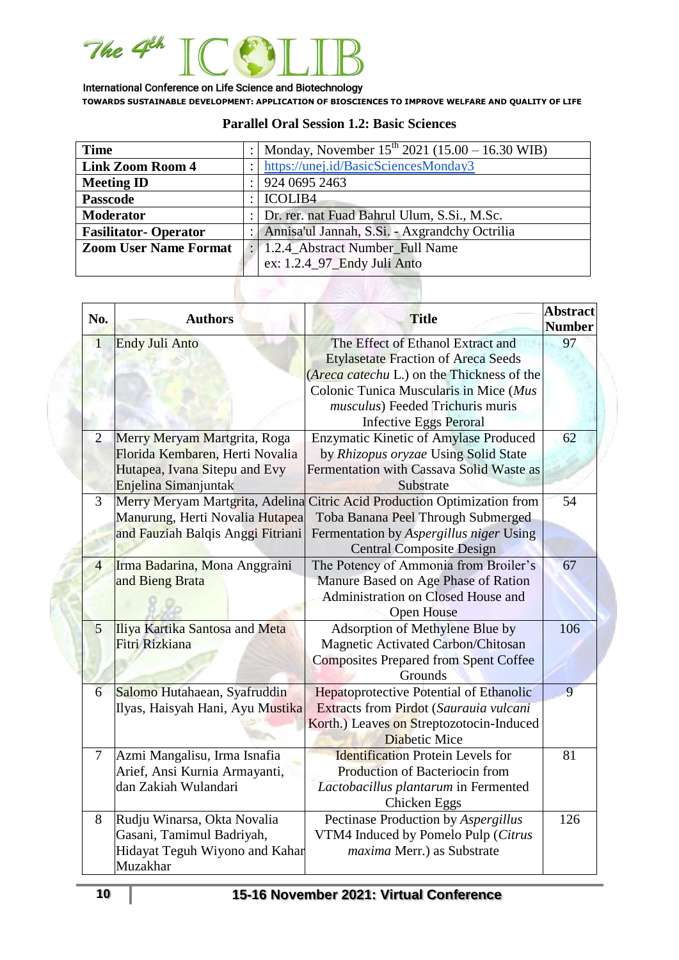

| <b>Time</b>                  |   | Monday, November $15^{th}$ 2021 (15.00 – 16.30 WIB) |  |
|------------------------------|---|-----------------------------------------------------|--|
| <b>Link Zoom Room 4</b>      |   | https://unej.id/BasicSciencesMonday3                |  |
| <b>Meeting ID</b>            |   | 924 0695 2463                                       |  |
| <b>Passcode</b>              | ٠ | <b>ICOLIB4</b>                                      |  |
| <b>Moderator</b>             |   | Dr. rer. nat Fuad Bahrul Ulum, S.Si., M.Sc.         |  |
| <b>Fasilitator-Operator</b>  |   | Annisa'ul Jannah, S.Si. - Axgrandchy Octrilia       |  |
| <b>Zoom User Name Format</b> |   | : 1.2.4_Abstract Number_Full Name                   |  |
|                              |   | ex: 1.2.4_97_Endy Juli Anto                         |  |

#### **Parallel Oral Session 1.2: Basic Sciences**

| No.            | <b>Authors</b>                                                                                                           | <b>Title</b>                                                                                                                                                                                                                                 | <b>Abstract</b><br><b>Number</b> |
|----------------|--------------------------------------------------------------------------------------------------------------------------|----------------------------------------------------------------------------------------------------------------------------------------------------------------------------------------------------------------------------------------------|----------------------------------|
| $\mathbf{1}$   | <b>Endy Juli Anto</b>                                                                                                    | The Effect of Ethanol Extract and<br><b>Etylasetate Fraction of Areca Seeds</b><br>(Areca catechu L.) on the Thickness of the<br>Colonic Tunica Muscularis in Mice (Mus<br>musculus) Feeded Trichuris muris<br><b>Infective Eggs Peroral</b> | 97                               |
| $\overline{2}$ | Merry Meryam Martgrita, Roga<br>Florida Kembaren, Herti Novalia<br>Hutapea, Ivana Sitepu and Evy<br>Enjelina Simanjuntak | <b>Enzymatic Kinetic of Amylase Produced</b><br>by Rhizopus oryzae Using Solid State<br>Fermentation with Cassava Solid Waste as<br>Substrate                                                                                                | 62                               |
| $\overline{3}$ | Merry Meryam Martgrita, Adelina<br>Manurung, Herti Novalia Hutapea<br>and Fauziah Balqis Anggi Fitriani                  | Citric Acid Production Optimization from<br>Toba Banana Peel Through Submerged<br>Fermentation by Aspergillus niger Using<br><b>Central Composite Design</b>                                                                                 | 54                               |
| $\overline{4}$ | Irma Badarina, Mona Anggraini<br>and Bieng Brata                                                                         | The Potency of Ammonia from Broiler's<br>Manure Based on Age Phase of Ration<br>Administration on Closed House and<br>Open House                                                                                                             | 67                               |
| 5              | Iliya Kartika Santosa and Meta<br>Fitri Rizkiana                                                                         | Adsorption of Methylene Blue by<br>Magnetic Activated Carbon/Chitosan<br><b>Composites Prepared from Spent Coffee</b><br>Grounds                                                                                                             | 106                              |
| 6              | Salomo Hutahaean, Syafruddin<br>Ilyas, Haisyah Hani, Ayu Mustika                                                         | Hepatoprotective Potential of Ethanolic<br>Extracts from Pirdot (Saurauia vulcani<br>Korth.) Leaves on Streptozotocin-Induced<br><b>Diabetic Mice</b>                                                                                        | 9                                |
| $\tau$         | Azmi Mangalisu, Irma Isnafia<br>Arief, Ansi Kurnia Armayanti,<br>dan Zakiah Wulandari                                    | <b>Identification Protein Levels for</b><br>Production of Bacteriocin from<br>Lactobacillus plantarum in Fermented<br>Chicken Eggs                                                                                                           | 81                               |
| 8              | Rudju Winarsa, Okta Novalia<br>Gasani, Tamimul Badriyah,<br>Hidayat Teguh Wiyono and Kahar<br>Muzakhar                   | Pectinase Production by Aspergillus<br>VTM4 Induced by Pomelo Pulp (Citrus<br>maxima Merr.) as Substrate                                                                                                                                     | 126                              |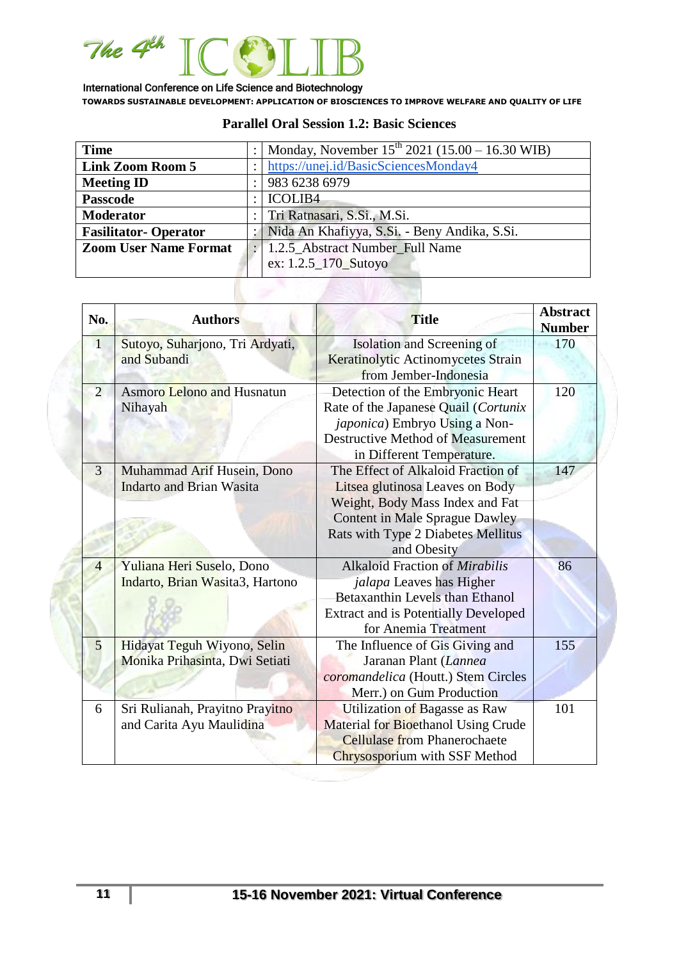

| <b>Time</b>                  |                             | Monday, November $15^{th}$ 2021 (15.00 – 16.30 WIB) |  |
|------------------------------|-----------------------------|-----------------------------------------------------|--|
| <b>Link Zoom Room 5</b>      |                             | https://unej.id/BasicSciencesMonday4                |  |
| <b>Meeting ID</b>            |                             | 983 6238 6979                                       |  |
| <b>Passcode</b>              |                             | <b>ICOLIB4</b>                                      |  |
| <b>Moderator</b>             | Tri Ratnasari, S.Si., M.Si. |                                                     |  |
| <b>Fasilitator-Operator</b>  |                             | :   Nida An Khafiyya, S.Si. - Beny Andika, S.Si.    |  |
| <b>Zoom User Name Format</b> |                             | 1.2.5_Abstract Number_Full Name                     |  |
|                              |                             | ex: 1.2.5_170_Sutoyo                                |  |
|                              |                             |                                                     |  |

#### **Parallel Oral Session 1.2: Basic Sciences**

| No.            | <b>Authors</b>                                                | <b>Title</b>                                                                                                                                                                                           | <b>Abstract</b><br><b>Number</b> |
|----------------|---------------------------------------------------------------|--------------------------------------------------------------------------------------------------------------------------------------------------------------------------------------------------------|----------------------------------|
| $\overline{1}$ | Sutoyo, Suharjono, Tri Ardyati,<br>and Subandi                | Isolation and Screening of<br>Keratinolytic Actinomycetes Strain<br>from Jember-Indonesia                                                                                                              | 170                              |
| $\overline{2}$ | <b>Asmoro Lelono and Husnatun</b><br>Nihayah                  | Detection of the Embryonic Heart<br>Rate of the Japanese Quail (Cortunix<br><i>japonica</i> ) Embryo Using a Non-<br><b>Destructive Method of Measurement</b><br>in Different Temperature.             | 120                              |
| 3              | Muhammad Arif Husein, Dono<br><b>Indarto and Brian Wasita</b> | The Effect of Alkaloid Fraction of<br>Litsea glutinosa Leaves on Body<br>Weight, Body Mass Index and Fat<br><b>Content in Male Sprague Dawley</b><br>Rats with Type 2 Diabetes Mellitus<br>and Obesity | 147                              |
| $\overline{4}$ | Yuliana Heri Suselo, Dono<br>Indarto, Brian Wasita3, Hartono  | <b>Alkaloid Fraction of Mirabilis</b><br>jalapa Leaves has Higher<br>Betaxanthin Levels than Ethanol<br><b>Extract and is Potentially Developed</b><br>for Anemia Treatment                            | 86                               |
| 5              | Hidayat Teguh Wiyono, Selin<br>Monika Prihasinta, Dwi Setiati | The Influence of Gis Giving and<br>Jaranan Plant (Lannea<br>coromandelica (Houtt.) Stem Circles<br>Merr.) on Gum Production                                                                            | 155                              |
| 6              | Sri Rulianah, Prayitno Prayitno<br>and Carita Ayu Maulidina   | Utilization of Bagasse as Raw<br>Material for Bioethanol Using Crude<br><b>Cellulase from Phanerochaete</b><br>Chrysosporium with SSF Method                                                           | 101                              |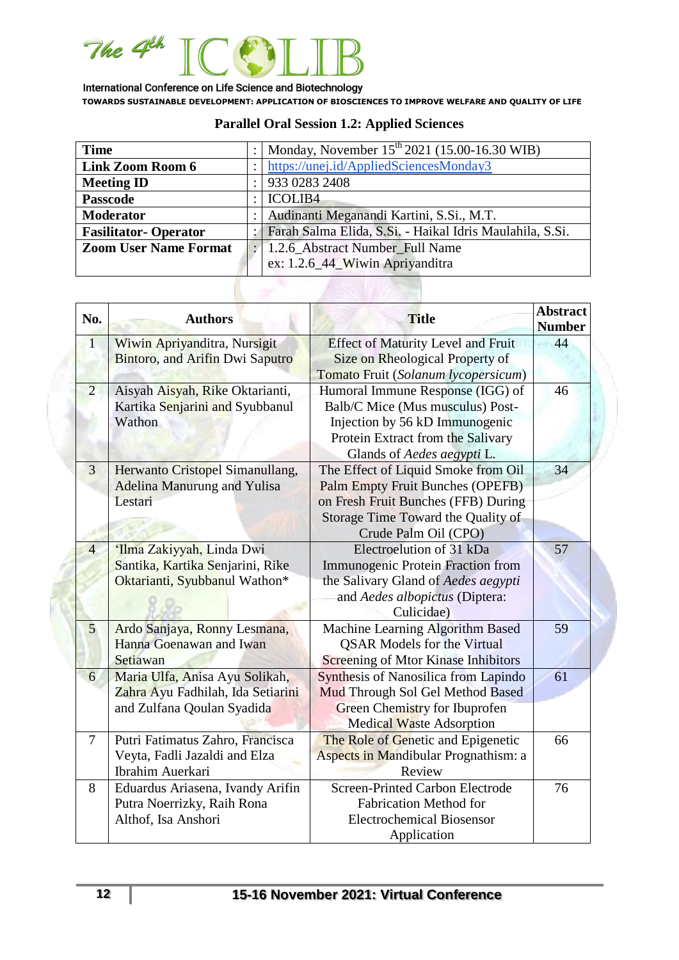

| <b>Time</b>                  |                                 | Monday, November $15^{th}$ 2021 (15.00-16.30 WIB)          |
|------------------------------|---------------------------------|------------------------------------------------------------|
| <b>Link Zoom Room 6</b>      |                                 | https://unej.id/AppliedSciencesMonday3                     |
| <b>Meeting ID</b>            |                                 | 933 0283 2408                                              |
| <b>Passcode</b>              |                                 | <b>ICOLIB4</b>                                             |
| <b>Moderator</b>             |                                 | Audinanti Meganandi Kartini, S.Si., M.T.                   |
| <b>Fasilitator-Operator</b>  |                                 | : Farah Salma Elida, S.Si. - Haikal Idris Maulahila, S.Si. |
| <b>Zoom User Name Format</b> |                                 | 1.2.6 Abstract Number Full Name                            |
|                              | ex: 1.2.6_44_Wiwin Apriyanditra |                                                            |

# **Parallel Oral Session 1.2: Applied Sciences**

| No.                                                                                      | <b>Authors</b>                                                                                    | <b>Title</b>                                                                                                                                                                 | <b>Abstract</b><br><b>Number</b> |
|------------------------------------------------------------------------------------------|---------------------------------------------------------------------------------------------------|------------------------------------------------------------------------------------------------------------------------------------------------------------------------------|----------------------------------|
| Wiwin Apriyanditra, Nursigit<br>$\overline{1}$<br><b>Bintoro, and Arifin Dwi Saputro</b> |                                                                                                   | <b>Effect of Maturity Level and Fruit</b><br>Size on Rheological Property of                                                                                                 | 44                               |
|                                                                                          |                                                                                                   | Tomato Fruit (Solanum lycopersicum)                                                                                                                                          |                                  |
| $\overline{2}$                                                                           | Aisyah Aisyah, Rike Oktarianti,<br>Kartika Senjarini and Syubbanul<br>Wathon                      | Humoral Immune Response (IGG) of<br>Balb/C Mice (Mus musculus) Post-<br>Injection by 56 kD Immunogenic<br>Protein Extract from the Salivary<br>Glands of Aedes aegypti L.    | 46                               |
| $\overline{3}$                                                                           | Herwanto Cristopel Simanullang,<br><b>Adelina Manurung and Yulisa</b><br>Lestari                  | The Effect of Liquid Smoke from Oil<br>Palm Empty Fruit Bunches (OPEFB)<br>on Fresh Fruit Bunches (FFB) During<br>Storage Time Toward the Quality of<br>Crude Palm Oil (CPO) | 34                               |
| $\overline{4}$                                                                           | 'Ilma Zakiyyah, Linda Dwi<br>Santika, Kartika Senjarini, Rike<br>Oktarianti, Syubbanul Wathon*    | Electroelution of 31 kDa<br><b>Immunogenic Protein Fraction from</b><br>the Salivary Gland of Aedes aegypti<br>and Aedes albopictus (Diptera:<br>Culicidae)                  | 57                               |
| 5                                                                                        | Ardo Sanjaya, Ronny Lesmana,<br>Hanna Goenawan and Iwan<br>Setiawan                               | Machine Learning Algorithm Based<br><b>QSAR Models for the Virtual</b><br><b>Screening of Mtor Kinase Inhibitors</b>                                                         | 59                               |
| 6                                                                                        | Maria Ulfa, Anisa Ayu Solikah,<br>Zahra Ayu Fadhilah, Ida Setiarini<br>and Zulfana Qoulan Syadida | <b>Synthesis of Nanosilica from Lapindo</b><br>Mud Through Sol Gel Method Based<br>Green Chemistry for Ibuprofen<br>Medical Waste Adsorption                                 | 61                               |
| $\overline{7}$                                                                           | Putri Fatimatus Zahro, Francisca<br>Veyta, Fadli Jazaldi and Elza<br>Ibrahim Auerkari             | The Role of Genetic and Epigenetic<br>Aspects in Mandibular Prognathism: a<br>Review                                                                                         | 66                               |
| 8                                                                                        | Eduardus Ariasena, Ivandy Arifin<br>Putra Noerrizky, Raih Rona<br>Althof, Isa Anshori             | Screen-Printed Carbon Electrode<br><b>Fabrication Method for</b><br><b>Electrochemical Biosensor</b><br>Application                                                          | 76                               |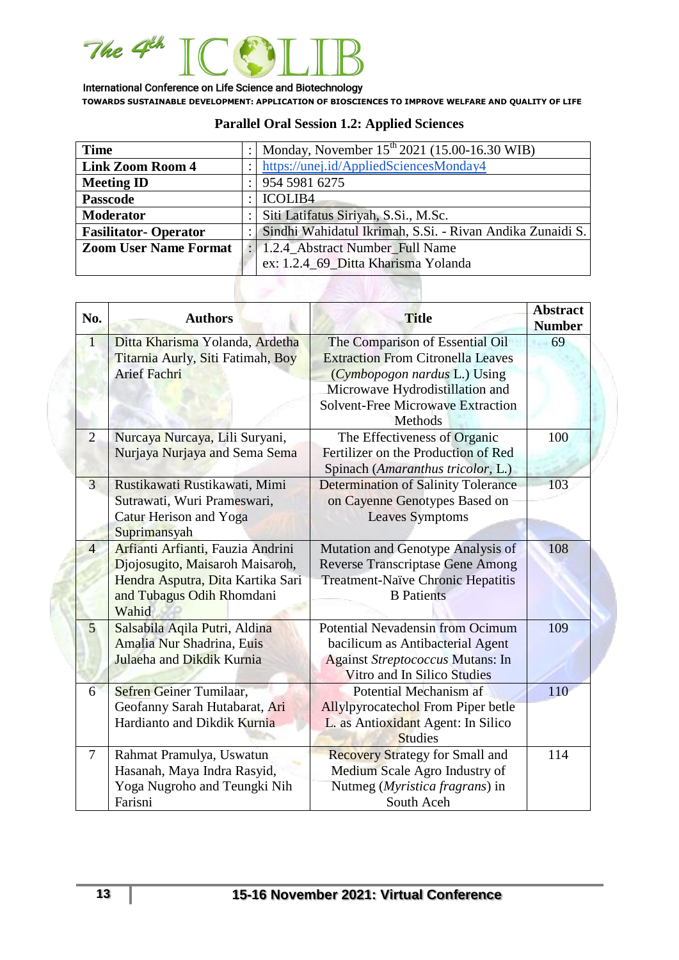

| <b>Time</b>                  |                | Monday, November 15 <sup>th</sup> 2021 (15.00-16.30 WIB)  |
|------------------------------|----------------|-----------------------------------------------------------|
| <b>Link Zoom Room 4</b>      |                | https://unej.id/AppliedSciencesMonday4                    |
| <b>Meeting ID</b>            |                | 954 5981 6275                                             |
| <b>Passcode</b>              | <b>ICOLIB4</b> |                                                           |
| <b>Moderator</b>             |                | Siti Latifatus Siriyah, S.Si., M.Sc.                      |
| <b>Fasilitator-Operator</b>  |                | Sindhi Wahidatul Ikrimah, S.Si. - Rivan Andika Zunaidi S. |
| <b>Zoom User Name Format</b> |                | 1.2.4_Abstract Number_Full Name                           |
|                              |                | ex: 1.2.4_69_Ditta Kharisma Yolanda                       |

# **Parallel Oral Session 1.2: Applied Sciences**

| No.            | <b>Authors</b>                                                                                                                                  | <b>Title</b>                                                                                                                                                                                          | <b>Abstract</b><br><b>Number</b> |
|----------------|-------------------------------------------------------------------------------------------------------------------------------------------------|-------------------------------------------------------------------------------------------------------------------------------------------------------------------------------------------------------|----------------------------------|
| $\overline{1}$ | Ditta Kharisma Yolanda, Ardetha<br>Titarnia Aurly, Siti Fatimah, Boy<br><b>Arief Fachri</b>                                                     | The Comparison of Essential Oil<br><b>Extraction From Citronella Leaves</b><br>(Cymbopogon nardus L.) Using<br>Microwave Hydrodistillation and<br><b>Solvent-Free Microwave Extraction</b><br>Methods | 69                               |
| $\overline{2}$ | Nurcaya Nurcaya, Lili Suryani,<br>Nurjaya Nurjaya and Sema Sema                                                                                 | The Effectiveness of Organic<br>Fertilizer on the Production of Red<br>Spinach (Amaranthus tricolor, L.)                                                                                              | 100                              |
| $\overline{3}$ | Rustikawati Rustikawati, Mimi<br>Sutrawati, Wuri Prameswari,<br>Catur Herison and Yoga<br>Suprimansyah                                          | <b>Determination of Salinity Tolerance</b><br>on Cayenne Genotypes Based on<br><b>Leaves Symptoms</b>                                                                                                 | 103                              |
| $\overline{4}$ | Arfianti Arfianti, Fauzia Andrini<br>Djojosugito, Maisaroh Maisaroh,<br>Hendra Asputra, Dita Kartika Sari<br>and Tubagus Odih Rhomdani<br>Wahid | Mutation and Genotype Analysis of<br><b>Reverse Transcriptase Gene Among</b><br>Treatment-Naïve Chronic Hepatitis<br><b>B</b> Patients                                                                | 108                              |
| 5              | Salsabila Aqila Putri, Aldina<br>Amalia Nur Shadrina, Euis<br>Julaeha and Dikdik Kurnia                                                         | <b>Potential Nevadensin from Ocimum</b><br>bacilicum as Antibacterial Agent<br><b>Against Streptococcus Mutans: In</b><br>Vitro and In Silico Studies                                                 | 109                              |
| 6              | Sefren Geiner Tumilaar,<br>Geofanny Sarah Hutabarat, Ari<br>Hardianto and Dikdik Kurnia                                                         | Potential Mechanism af<br><b>Allylpyrocatechol From Piper betle</b><br>L. as Antioxidant Agent: In Silico<br><b>Studies</b>                                                                           | 110                              |
| 7              | Rahmat Pramulya, Uswatun<br>Hasanah, Maya Indra Rasyid,<br>Yoga Nugroho and Teungki Nih<br>Farisni                                              | <b>Recovery Strategy for Small and</b><br>Medium Scale Agro Industry of<br>Nutmeg (Myristica fragrans) in<br>South Aceh                                                                               | 114                              |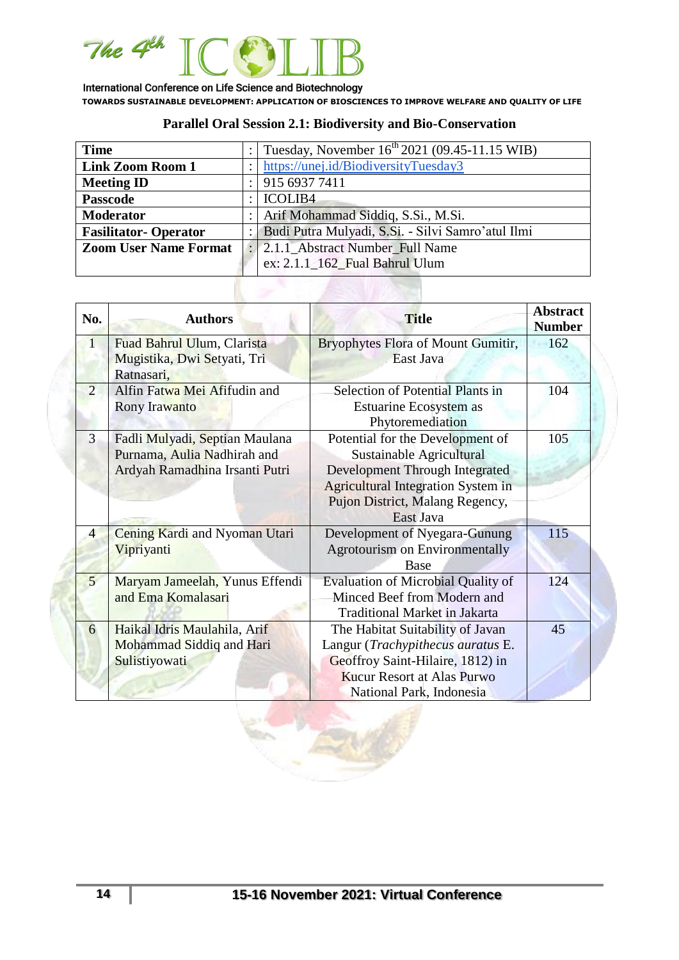

## **Parallel Oral Session 2.1: Biodiversity and Bio-Conservation**

| <b>Time</b>                  |                                 | Tuesday, November $16^{th}$ 2021 (09.45-11.15 WIB) |  |
|------------------------------|---------------------------------|----------------------------------------------------|--|
| <b>Link Zoom Room 1</b>      |                                 | https://unej.id/BiodiversityTuesday3               |  |
| <b>Meeting ID</b>            |                                 | 915 6937 7411                                      |  |
| <b>Passcode</b>              |                                 | <b>ICOLIB4</b>                                     |  |
| <b>Moderator</b>             |                                 | Arif Mohammad Siddiq, S.Si., M.Si.                 |  |
| <b>Fasilitator-Operator</b>  |                                 | Budi Putra Mulyadi, S.Si. - Silvi Samro'atul Ilmi  |  |
| <b>Zoom User Name Format</b> | 2.1.1 Abstract Number Full Name |                                                    |  |
|                              |                                 | ex: 2.1.1_162_Fual Bahrul Ulum                     |  |

| No.                                                                                       | <b>Authors</b>                                                                                  | <b>Title</b>                                                                                                                                                                                | <b>Abstract</b><br><b>Number</b> |
|-------------------------------------------------------------------------------------------|-------------------------------------------------------------------------------------------------|---------------------------------------------------------------------------------------------------------------------------------------------------------------------------------------------|----------------------------------|
| $\overline{1}$<br>Fuad Bahrul Ulum, Clarista<br>Mugistika, Dwi Setyati, Tri<br>Ratnasari, |                                                                                                 | <b>Bryophytes Flora of Mount Gumitir,</b><br>East Java                                                                                                                                      | 162                              |
| 2                                                                                         | Alfin Fatwa Mei Afifudin and<br>Rony Irawanto                                                   | Selection of Potential Plants in<br>Estuarine Ecosystem as<br>Phytoremediation                                                                                                              | 104                              |
| 3                                                                                         | Fadli Mulyadi, Septian Maulana<br>Purnama, Aulia Nadhirah and<br>Ardyah Ramadhina Irsanti Putri | Potential for the Development of<br>Sustainable Agricultural<br>Development Through Integrated<br><b>Agricultural Integration System in</b><br>Pujon District, Malang Regency,<br>East Java | 105                              |
| $\overline{4}$                                                                            | Cening Kardi and Nyoman Utari<br>Vipriyanti                                                     | Development of Nyegara-Gunung<br><b>Agrotourism on Environmentally</b><br>Base                                                                                                              | 115                              |
| $5\overline{)}$                                                                           | Maryam Jameelah, Yunus Effendi<br>and Ema Komalasari                                            | <b>Evaluation of Microbial Quality of</b><br>Minced Beef from Modern and<br><b>Traditional Market in Jakarta</b>                                                                            | 124                              |
| 6                                                                                         | Haikal Idris Maulahila, Arif<br>Mohammad Siddiq and Hari<br>Sulistiyowati                       | The Habitat Suitability of Javan<br>Langur (Trachypithecus auratus E.<br>Geoffroy Saint-Hilaire, 1812) in<br><b>Kucur Resort at Alas Purwo</b><br>National Park, Indonesia                  | 45                               |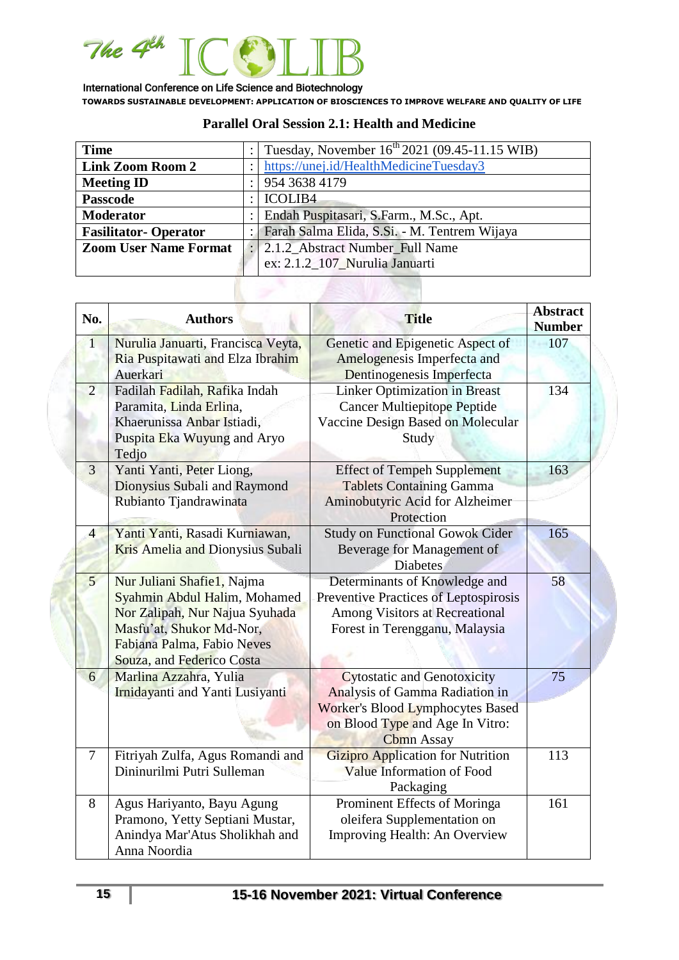

| <b>Time</b>                  | $\ddot{\phantom{0}}$ | Tuesday, November 16 <sup>th</sup> 2021 (09.45-11.15 WIB) |  |
|------------------------------|----------------------|-----------------------------------------------------------|--|
| <b>Link Zoom Room 2</b>      |                      | https://unej.id/HealthMedicineTuesday3                    |  |
| <b>Meeting ID</b>            |                      | 954 3638 4179                                             |  |
| <b>Passcode</b>              | ٠                    | <b>ICOLIB4</b>                                            |  |
| <b>Moderator</b>             |                      | Endah Puspitasari, S.Farm., M.Sc., Apt.                   |  |
| <b>Fasilitator-Operator</b>  | : 1                  | Farah Salma Elida, S.Si. - M. Tentrem Wijaya              |  |
| <b>Zoom User Name Format</b> |                      | : 2.1.2_Abstract Number_Full Name                         |  |
|                              |                      | ex: 2.1.2_107_Nurulia Januarti                            |  |

### **Parallel Oral Session 2.1: Health and Medicine**

| No.            | <b>Authors</b>                                                                                                                                                                      | <b>Title</b>                                                                                                                                                            | <b>Abstract</b><br><b>Number</b> |
|----------------|-------------------------------------------------------------------------------------------------------------------------------------------------------------------------------------|-------------------------------------------------------------------------------------------------------------------------------------------------------------------------|----------------------------------|
| $\overline{1}$ | Nurulia Januarti, Francisca Veyta,<br>Ria Puspitawati and Elza Ibrahim<br>Auerkari                                                                                                  | Genetic and Epigenetic Aspect of<br>Amelogenesis Imperfecta and<br>Dentinogenesis Imperfecta                                                                            | 107                              |
| $\overline{2}$ | Fadilah Fadilah, Rafika Indah<br>Paramita, Linda Erlina,<br>Khaerunissa Anbar Istiadi,<br>Puspita Eka Wuyung and Aryo<br>Tedjo                                                      | <b>Linker Optimization in Breast</b><br><b>Cancer Multiepitope Peptide</b><br>Vaccine Design Based on Molecular<br>Study                                                | 134                              |
| 3              | Yanti Yanti, Peter Liong,<br>Dionysius Subali and Raymond<br>Rubianto Tjandrawinata                                                                                                 | <b>Effect of Tempeh Supplement</b><br><b>Tablets Containing Gamma</b><br>Aminobutyric Acid for Alzheimer<br>Protection                                                  | 163                              |
| $\overline{4}$ | Yanti Yanti, Rasadi Kurniawan,<br>Kris Amelia and Dionysius Subali                                                                                                                  | <b>Study on Functional Gowok Cider</b><br>Beverage for Management of<br><b>Diabetes</b>                                                                                 | 165                              |
| 5 <sup>5</sup> | Nur Juliani Shafiel, Najma<br>Syahmin Abdul Halim, Mohamed<br>Nor Zalipah, Nur Najua Syuhada<br>Masfu'at, Shukor Md-Nor,<br>Fabiana Palma, Fabio Neves<br>Souza, and Federico Costa | Determinants of Knowledge and<br>Preventive Practices of Leptospirosis<br><b>Among Visitors at Recreational</b><br>Forest in Terengganu, Malaysia                       | 58                               |
| 6              | Marlina Azzahra, Yulia<br>Irnidayanti and Yanti Lusiyanti                                                                                                                           | <b>Cytostatic and Genotoxicity</b><br>Analysis of Gamma Radiation in<br><b>Worker's Blood Lymphocytes Based</b><br>on Blood Type and Age In Vitro:<br><b>Cbmn</b> Assay | 75                               |
| $\overline{7}$ | Fitriyah Zulfa, Agus Romandi and<br>Dininurilmi Putri Sulleman                                                                                                                      | <b>Gizipro Application for Nutrition</b><br>Value Information of Food<br>Packaging                                                                                      | 113                              |
| 8              | Agus Hariyanto, Bayu Agung<br>Pramono, Yetty Septiani Mustar,<br>Anindya Mar'Atus Sholikhah and<br>Anna Noordia                                                                     | Prominent Effects of Moringa<br>oleifera Supplementation on<br>Improving Health: An Overview                                                                            | 161                              |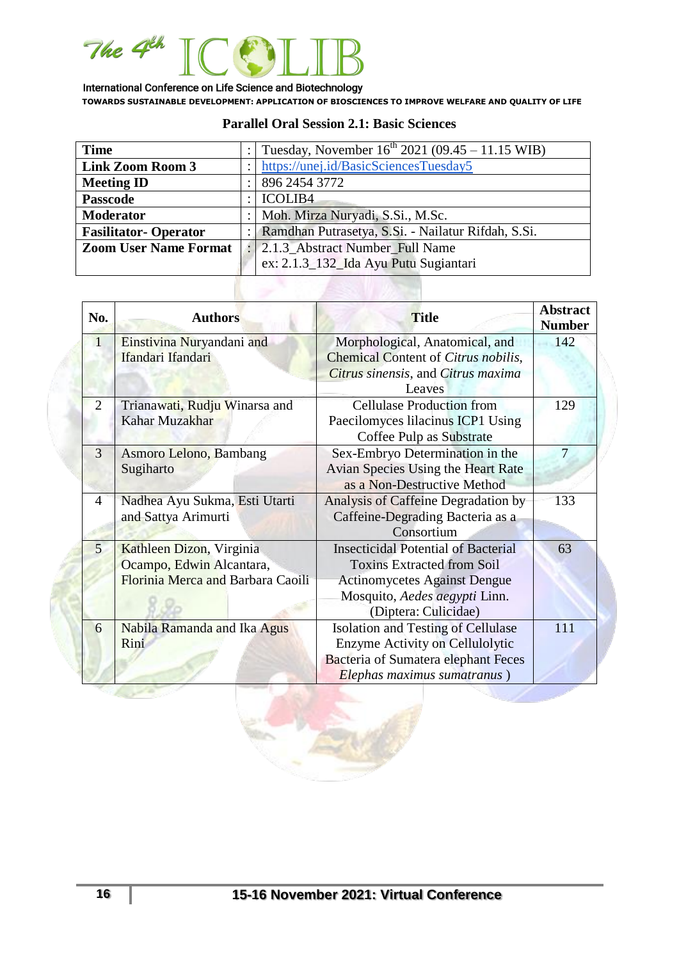

#### **Parallel Oral Session 2.1: Basic Sciences**

| <b>Time</b>                  |                                                    | Tuesday, November $16^{th}$ 2021 (09.45 – 11.15 WIB) |
|------------------------------|----------------------------------------------------|------------------------------------------------------|
| <b>Link Zoom Room 3</b>      |                                                    | https://unej.id/BasicSciencesTuesday5                |
| <b>Meeting ID</b>            |                                                    | 896 2454 3772                                        |
| <b>Passcode</b>              |                                                    | <b>ICOLIB4</b>                                       |
| <b>Moderator</b>             |                                                    | Moh. Mirza Nuryadi, S.Si., M.Sc.                     |
| <b>Fasilitator-Operator</b>  | Ramdhan Putrasetya, S.Si. - Nailatur Rifdah, S.Si. |                                                      |
| <b>Zoom User Name Format</b> |                                                    | 2.1.3_Abstract Number_Full Name                      |
|                              |                                                    | ex: 2.1.3_132_Ida Ayu Putu Sugiantari                |
|                              |                                                    |                                                      |

| No.            | <b>Authors</b>                                       | <b>Title</b>                                                            | <b>Abstract</b><br><b>Number</b> |
|----------------|------------------------------------------------------|-------------------------------------------------------------------------|----------------------------------|
| $\mathbf{1}$   | Einstivina Nuryandani and                            | Morphological, Anatomical, and                                          | 142                              |
|                | Ifandari Ifandari                                    | Chemical Content of Citrus nobilis,                                     |                                  |
|                |                                                      | Citrus sinensis, and Citrus maxima                                      |                                  |
|                |                                                      | Leaves                                                                  |                                  |
| 2              | Trianawati, Rudju Winarsa and                        | <b>Cellulase Production from</b>                                        | 129                              |
|                | Kahar Muzakhar                                       | Paecilomyces lilacinus ICP1 Using<br>Coffee Pulp as Substrate           |                                  |
| 3              | Asmoro Lelono, Bambang                               | Sex-Embryo Determination in the                                         | 7                                |
|                | Sugiharto                                            | Avian Species Using the Heart Rate<br>as a Non-Destructive Method       |                                  |
| 4              | Nadhea Ayu Sukma, Esti Utarti<br>and Sattya Arimurti | Analysis of Caffeine Degradation by<br>Caffeine-Degrading Bacteria as a | 133                              |
|                |                                                      | Consortium                                                              |                                  |
| 5 <sup>5</sup> | Kathleen Dizon, Virginia                             | <b>Insecticidal Potential of Bacterial</b>                              | 63                               |
|                | Ocampo, Edwin Alcantara,                             | <b>Toxins Extracted from Soil</b>                                       |                                  |
|                | Florinia Merca and Barbara Caoili                    | <b>Actinomycetes Against Dengue</b>                                     |                                  |
|                |                                                      | Mosquito, Aedes aegypti Linn.                                           |                                  |
|                |                                                      | (Diptera: Culicidae)                                                    |                                  |
| 6              | Nabila Ramanda and Ika Agus                          | <b>Isolation and Testing of Cellulase</b>                               | 111                              |
|                | Rini                                                 | Enzyme Activity on Cellulolytic                                         |                                  |
|                |                                                      | <b>Bacteria of Sumatera elephant Feces</b>                              |                                  |
|                |                                                      | Elephas maximus sumatranus)                                             |                                  |

**All you**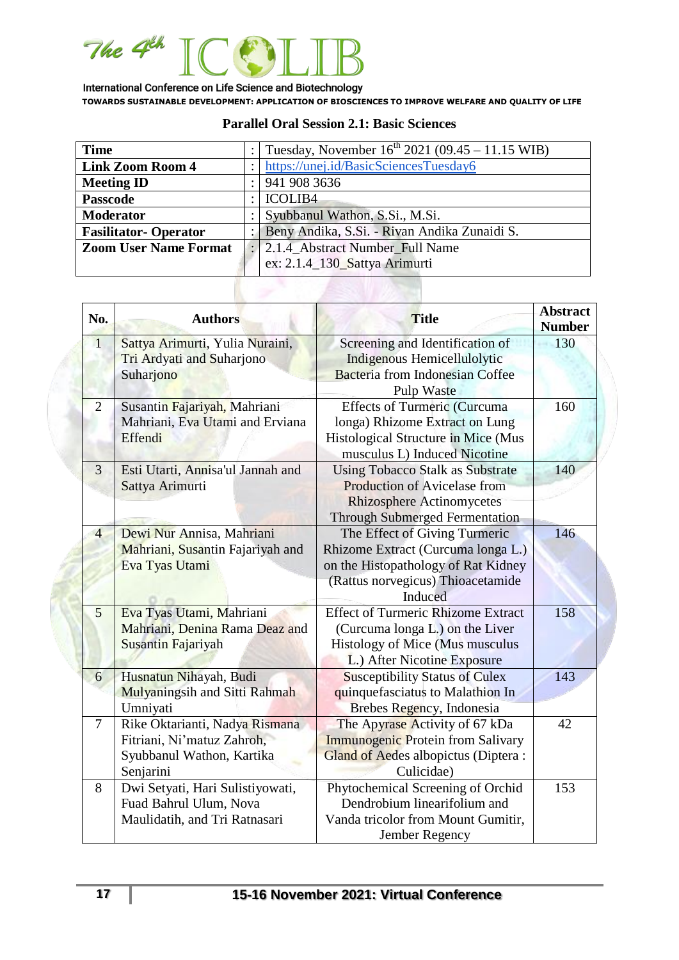

| <b>Time</b>                  |                                | Tuesday, November $16^{th}$ 2021 (09.45 – 11.15 WIB) |
|------------------------------|--------------------------------|------------------------------------------------------|
| <b>Link Zoom Room 4</b>      |                                | https://unej.id/BasicSciencesTuesday6                |
| <b>Meeting ID</b>            |                                | 941 908 3636                                         |
| <b>Passcode</b>              |                                | <b>ICOLIB4</b>                                       |
| <b>Moderator</b>             | Syubbanul Wathon, S.Si., M.Si. |                                                      |
| <b>Fasilitator-Operator</b>  |                                | Beny Andika, S.Si. - Rivan Andika Zunaidi S.         |
| <b>Zoom User Name Format</b> |                                | 2.1.4_Abstract Number_Full Name                      |
|                              |                                | ex: 2.1.4_130_Sattya Arimurti                        |

#### **Parallel Oral Session 2.1: Basic Sciences**

| No.            | <b>Authors</b>                                                                                         | <b>Title</b>                                                                                                                                                | <b>Abstract</b><br><b>Number</b> |
|----------------|--------------------------------------------------------------------------------------------------------|-------------------------------------------------------------------------------------------------------------------------------------------------------------|----------------------------------|
| $\mathbf{1}$   | Sattya Arimurti, Yulia Nuraini,<br>Tri Ardyati and Suharjono<br>Suharjono                              | Screening and Identification of<br>Indigenous Hemicellulolytic<br><b>Bacteria</b> from Indonesian Coffee<br>Pulp Waste                                      | 130                              |
| $\overline{2}$ | Susantin Fajariyah, Mahriani<br>Mahriani, Eva Utami and Erviana<br>Effendi                             | <b>Effects of Turmeric (Curcuma</b><br>longa) Rhizome Extract on Lung<br>Histological Structure in Mice (Mus<br>musculus L) Induced Nicotine                | 160                              |
| 3              | Esti Utarti, Annisa'ul Jannah and<br>Sattya Arimurti                                                   | <b>Using Tobacco Stalk as Substrate</b><br><b>Production of Avicelase from</b><br><b>Rhizosphere Actinomycetes</b><br><b>Through Submerged Fermentation</b> | 140                              |
| $\overline{4}$ | Dewi Nur Annisa, Mahriani<br>Mahriani, Susantin Fajariyah and<br>Eva Tyas Utami                        | The Effect of Giving Turmeric<br>Rhizome Extract (Curcuma longa L.)<br>on the Histopathology of Rat Kidney<br>(Rattus norvegicus) Thioacetamide<br>Induced  | 146                              |
| 5              | Eva Tyas Utami, Mahriani<br>Mahriani, Denina Rama Deaz and<br>Susantin Fajariyah                       | <b>Effect of Turmeric Rhizome Extract</b><br>(Curcuma longa L.) on the Liver<br>Histology of Mice (Mus musculus<br>L.) After Nicotine Exposure              | 158                              |
| 6              | Husnatun Nihayah, Budi<br>Mulyaningsih and Sitti Rahmah<br>Umniyati                                    | <b>Susceptibility Status of Culex</b><br>quinquefasciatus to Malathion In<br>Brebes Regency, Indonesia                                                      | 143                              |
| $\tau$         | Rike Oktarianti, Nadya Rismana<br>Fitriani, Ni'matuz Zahroh,<br>Syubbanul Wathon, Kartika<br>Senjarini | The Apyrase Activity of 67 kDa<br><b>Immunogenic Protein from Salivary</b><br><b>Gland of Aedes albopictus (Diptera:</b><br>Culicidae)                      | 42                               |
| 8              | Dwi Setyati, Hari Sulistiyowati,<br>Fuad Bahrul Ulum, Nova<br>Maulidatih, and Tri Ratnasari            | Phytochemical Screening of Orchid<br>Dendrobium linearifolium and<br>Vanda tricolor from Mount Gumitir,<br>Jember Regency                                   | 153                              |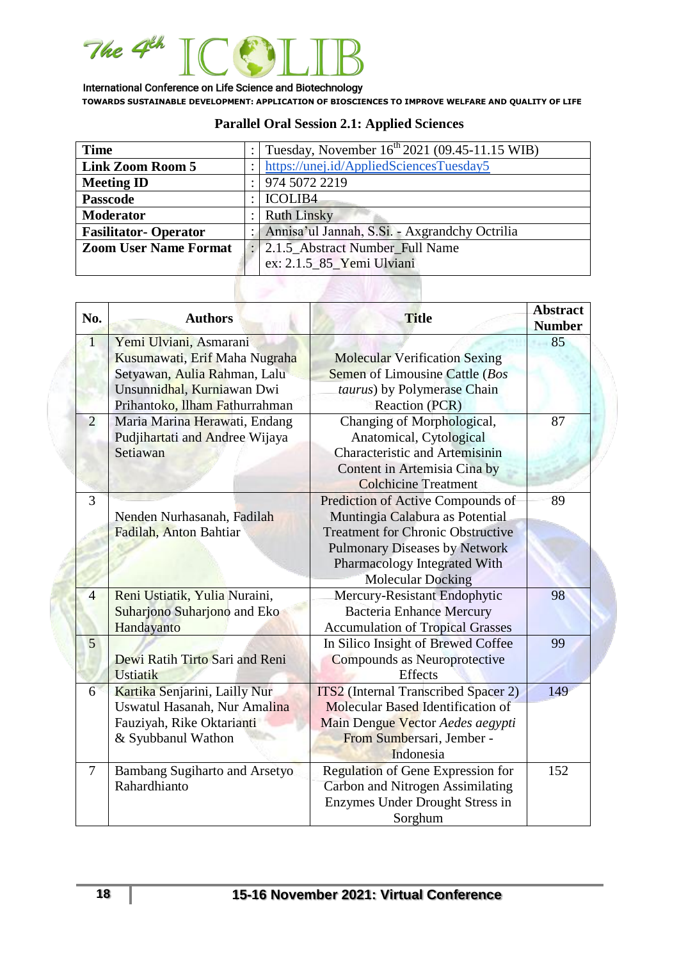

| <b>Time</b>                  |   | Tuesday, November 16 <sup>th</sup> 2021 (09.45-11.15 WIB) |  |
|------------------------------|---|-----------------------------------------------------------|--|
| <b>Link Zoom Room 5</b>      |   | https://unej.id/AppliedSciencesTuesday5                   |  |
| <b>Meeting ID</b>            |   | 974 5072 2219                                             |  |
| <b>Passcode</b>              | ٠ | <b>ICOLIB4</b>                                            |  |
| <b>Moderator</b>             |   | <b>Ruth Linsky</b>                                        |  |
| <b>Fasilitator-Operator</b>  |   | Annisa'ul Jannah, S.Si. - Axgrandchy Octrilia             |  |
| <b>Zoom User Name Format</b> |   | : 2.1.5_Abstract Number_Full Name                         |  |
|                              |   | ex: 2.1.5_85_Yemi Ulviani                                 |  |

# **Parallel Oral Session 2.1: Applied Sciences**

| No.                                                                       | <b>Authors</b>                       | <b>Title</b>                                | <b>Abstract</b><br><b>Number</b> |
|---------------------------------------------------------------------------|--------------------------------------|---------------------------------------------|----------------------------------|
| Yemi Ulviani, Asmarani<br>$\overline{1}$<br>Kusumawati, Erif Maha Nugraha |                                      | <b>Molecular Verification Sexing</b>        | 85                               |
|                                                                           | Setyawan, Aulia Rahman, Lalu         | Semen of Limousine Cattle (Bos              |                                  |
|                                                                           | Unsunnidhal, Kurniawan Dwi           | taurus) by Polymerase Chain                 |                                  |
|                                                                           | Prihantoko, Ilham Fathurrahman       | Reaction (PCR)                              |                                  |
| $\overline{2}$                                                            | Maria Marina Herawati, Endang        | Changing of Morphological,                  | 87                               |
|                                                                           | Pudjihartati and Andree Wijaya       | Anatomical, Cytological                     |                                  |
|                                                                           | Setiawan                             | <b>Characteristic and Artemisinin</b>       |                                  |
|                                                                           |                                      | Content in Artemisia Cina by                |                                  |
|                                                                           |                                      | <b>Colchicine Treatment</b>                 |                                  |
| 3                                                                         |                                      | Prediction of Active Compounds of           | 89                               |
|                                                                           | Nenden Nurhasanah, Fadilah           | Muntingia Calabura as Potential             |                                  |
|                                                                           | Fadilah, Anton Bahtiar               | <b>Treatment for Chronic Obstructive</b>    |                                  |
|                                                                           |                                      | <b>Pulmonary Diseases by Network</b>        |                                  |
|                                                                           |                                      | Pharmacology Integrated With                |                                  |
|                                                                           |                                      | <b>Molecular Docking</b>                    |                                  |
| 4                                                                         | Reni Ustiatik, Yulia Nuraini,        | Mercury-Resistant Endophytic                | 98                               |
|                                                                           | Suharjono Suharjono and Eko          | <b>Bacteria Enhance Mercury</b>             |                                  |
|                                                                           | Handayanto                           | <b>Accumulation of Tropical Grasses</b>     |                                  |
| $\overline{5}$                                                            |                                      | In Silico Insight of Brewed Coffee          | 99                               |
|                                                                           | Dewi Ratih Tirto Sari and Reni       | <b>Compounds as Neuroprotective</b>         |                                  |
|                                                                           | <b>Ustiatik</b>                      | <b>Effects</b>                              |                                  |
| 6                                                                         | Kartika Senjarini, Lailly Nur        | <b>ITS2</b> (Internal Transcribed Spacer 2) | 149                              |
|                                                                           | Uswatul Hasanah, Nur Amalina         | Molecular Based Identification of           |                                  |
|                                                                           | Fauziyah, Rike Oktarianti            | Main Dengue Vector Aedes aegypti            |                                  |
|                                                                           | & Syubbanul Wathon                   | From Sumbersari, Jember -                   |                                  |
|                                                                           |                                      | Indonesia                                   |                                  |
| 7                                                                         | <b>Bambang Sugiharto and Arsetyo</b> | Regulation of Gene Expression for           | 152                              |
|                                                                           | Rahardhianto                         | Carbon and Nitrogen Assimilating            |                                  |
|                                                                           |                                      | Enzymes Under Drought Stress in             |                                  |
|                                                                           |                                      | Sorghum                                     |                                  |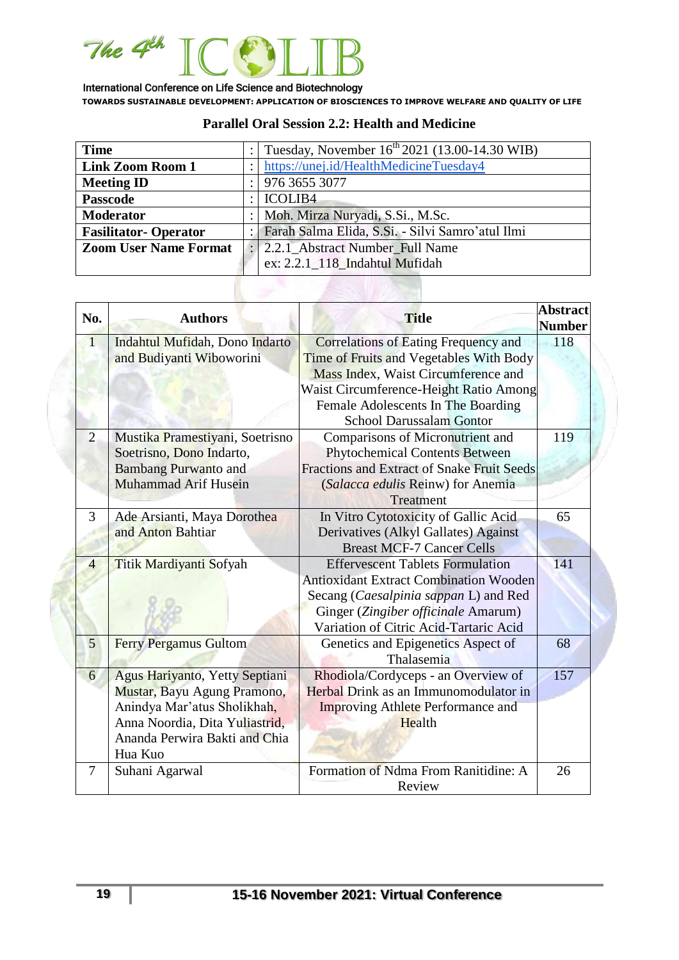

| <b>Time</b>                  |                                                  | Tuesday, November 16 <sup>th</sup> 2021 (13.00-14.30 WIB) |  |
|------------------------------|--------------------------------------------------|-----------------------------------------------------------|--|
| <b>Link Zoom Room 1</b>      |                                                  | https://unej.id/HealthMedicineTuesday4                    |  |
| <b>Meeting ID</b>            |                                                  | 976 3655 3077                                             |  |
| <b>Passcode</b>              | <b>ICOLIB4</b>                                   |                                                           |  |
| <b>Moderator</b>             | Moh. Mirza Nuryadi, S.Si., M.Sc.                 |                                                           |  |
| <b>Fasilitator-Operator</b>  | Farah Salma Elida, S.Si. - Silvi Samro'atul Ilmi |                                                           |  |
| <b>Zoom User Name Format</b> |                                                  | 2.2.1 Abstract Number Full Name                           |  |
|                              |                                                  | ex: 2.2.1 118 Indahtul Mufidah                            |  |

### **Parallel Oral Session 2.2: Health and Medicine**

| No.            | <b>Authors</b>                  | <b>Title</b>                                      | <b>Abstract</b><br><b>Number</b> |
|----------------|---------------------------------|---------------------------------------------------|----------------------------------|
| 1              | Indahtul Mufidah, Dono Indarto  | <b>Correlations of Eating Frequency and</b>       | 118                              |
|                | and Budiyanti Wiboworini        | Time of Fruits and Vegetables With Body           |                                  |
|                |                                 | Mass Index, Waist Circumference and               |                                  |
|                |                                 | Waist Circumference-Height Ratio Among            |                                  |
|                |                                 | Female Adolescents In The Boarding                |                                  |
|                |                                 | <b>School Darussalam Gontor</b>                   |                                  |
| $\overline{2}$ | Mustika Pramestiyani, Soetrisno | Comparisons of Micronutrient and                  | 119                              |
|                | Soetrisno, Dono Indarto,        | <b>Phytochemical Contents Between</b>             |                                  |
|                | <b>Bambang Purwanto and</b>     | <b>Fractions and Extract of Snake Fruit Seeds</b> |                                  |
|                | <b>Muhammad Arif Husein</b>     | (Salacca edulis Reinw) for Anemia                 |                                  |
|                |                                 | Treatment                                         |                                  |
| 3              | Ade Arsianti, Maya Dorothea     | In Vitro Cytotoxicity of Gallic Acid              | 65                               |
|                | and Anton Bahtiar               | Derivatives (Alkyl Gallates) Against              |                                  |
|                |                                 | <b>Breast MCF-7 Cancer Cells</b>                  |                                  |
| $\overline{4}$ | Titik Mardiyanti Sofyah         | <b>Effervescent Tablets Formulation</b>           | 141                              |
|                |                                 | <b>Antioxidant Extract Combination Wooden</b>     |                                  |
|                |                                 | Secang (Caesalpinia sappan L) and Red             |                                  |
|                |                                 | Ginger (Zingiber officinale Amarum)               |                                  |
|                |                                 | Variation of Citric Acid-Tartaric Acid            |                                  |
| 5              | <b>Ferry Pergamus Gultom</b>    | Genetics and Epigenetics Aspect of                | 68                               |
|                |                                 | Thalasemia                                        |                                  |
| 6              | Agus Hariyanto, Yetty Septiani  | Rhodiola/Cordyceps - an Overview of               | 157                              |
|                | Mustar, Bayu Agung Pramono,     | Herbal Drink as an Immunomodulator in             |                                  |
|                | Anindya Mar'atus Sholikhah,     | <b>Improving Athlete Performance and</b>          |                                  |
|                | Anna Noordia, Dita Yuliastrid,  | Health                                            |                                  |
|                | Ananda Perwira Bakti and Chia   |                                                   |                                  |
|                | Hua Kuo                         |                                                   |                                  |
| 7              | Suhani Agarwal                  | Formation of Ndma From Ranitidine: A              | 26                               |
|                |                                 | Review                                            |                                  |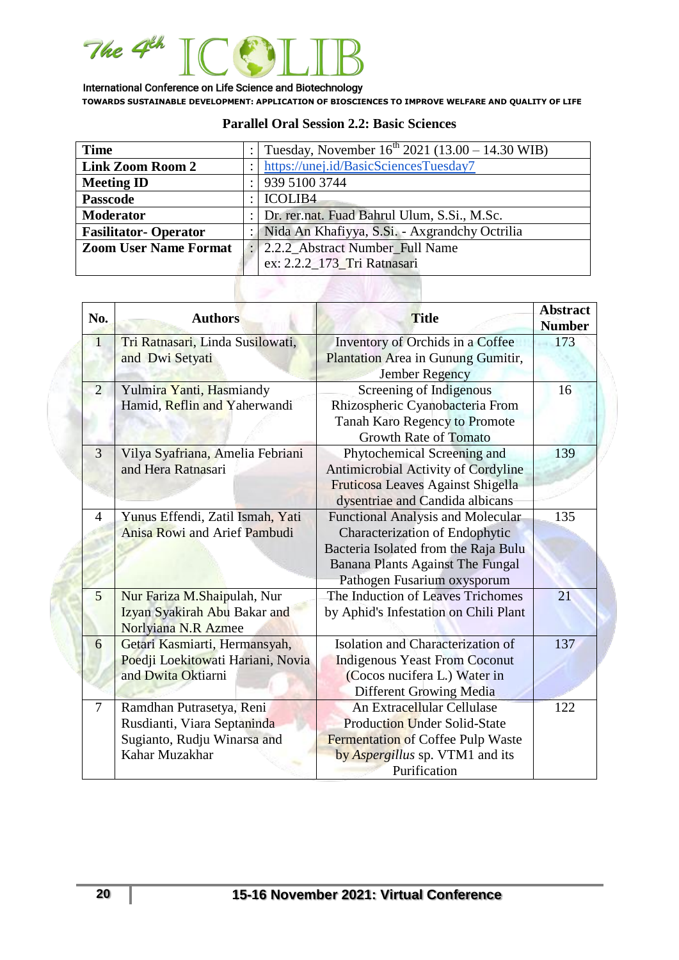

| <b>Time</b>                  |   | Tuesday, November $16^{th}$ 2021 (13.00 – 14.30 WIB) |
|------------------------------|---|------------------------------------------------------|
| <b>Link Zoom Room 2</b>      |   | https://unej.id/BasicSciencesTuesday7                |
| <b>Meeting ID</b>            |   | 939 5100 3744                                        |
| <b>Passcode</b>              |   | <b>ICOLIB4</b>                                       |
| <b>Moderator</b>             | ٠ | Dr. rer.nat. Fuad Bahrul Ulum, S.Si., M.Sc.          |
| <b>Fasilitator-Operator</b>  |   | Nida An Khafiyya, S.Si. - Axgrandchy Octrilia        |
| <b>Zoom User Name Format</b> |   | 2.2.2 Abstract Number Full Name                      |
|                              |   | ex: 2.2.2_173_Tri Ratnasari                          |
|                              |   |                                                      |

#### **Parallel Oral Session 2.2: Basic Sciences**

| No.            | <b>Authors</b>                                                                                           | <b>Title</b>                                                                                                                                                                                 | <b>Abstract</b><br><b>Number</b> |
|----------------|----------------------------------------------------------------------------------------------------------|----------------------------------------------------------------------------------------------------------------------------------------------------------------------------------------------|----------------------------------|
| $\vert$ 1      | Tri Ratnasari, Linda Susilowati,<br>and Dwi Setyati                                                      | Inventory of Orchids in a Coffee<br>Plantation Area in Gunung Gumitir,<br><b>Jember Regency</b>                                                                                              | 173                              |
| $\overline{2}$ | Yulmira Yanti, Hasmiandy<br>Hamid, Reflin and Yaherwandi                                                 | Screening of Indigenous<br>Rhizospheric Cyanobacteria From<br><b>Tanah Karo Regency to Promote</b><br><b>Growth Rate of Tomato</b>                                                           | 16                               |
| 3              | Vilya Syafriana, Amelia Febriani<br>and Hera Ratnasari                                                   | Phytochemical Screening and<br>Antimicrobial Activity of Cordyline<br>Fruticosa Leaves Against Shigella<br>dysentriae and Candida albicans                                                   | 139                              |
| 4              | Yunus Effendi, Zatil Ismah, Yati<br><b>Anisa Rowi and Arief Pambudi</b>                                  | <b>Functional Analysis and Molecular</b><br><b>Characterization of Endophytic</b><br>Bacteria Isolated from the Raja Bulu<br>Banana Plants Against The Fungal<br>Pathogen Fusarium oxysporum | 135                              |
| 5              | Nur Fariza M.Shaipulah, Nur<br>Izyan Syakirah Abu Bakar and<br>Norlyiana N.R Azmee                       | The Induction of Leaves Trichomes<br>by Aphid's Infestation on Chili Plant                                                                                                                   | 21                               |
| 6              | Getari Kasmiarti, Hermansyah,<br>Poedji Loekitowati Hariani, Novia<br>and Dwita Oktiarni                 | Isolation and Characterization of<br><b>Indigenous Yeast From Coconut</b><br>(Cocos nucifera L.) Water in<br><b>Different Growing Media</b>                                                  | 137                              |
| 7              | Ramdhan Putrasetya, Reni<br>Rusdianti, Viara Septaninda<br>Sugianto, Rudju Winarsa and<br>Kahar Muzakhar | An Extracellular Cellulase<br><b>Production Under Solid-State</b><br>Fermentation of Coffee Pulp Waste<br>by Aspergillus sp. VTM1 and its<br>Purification                                    | 122                              |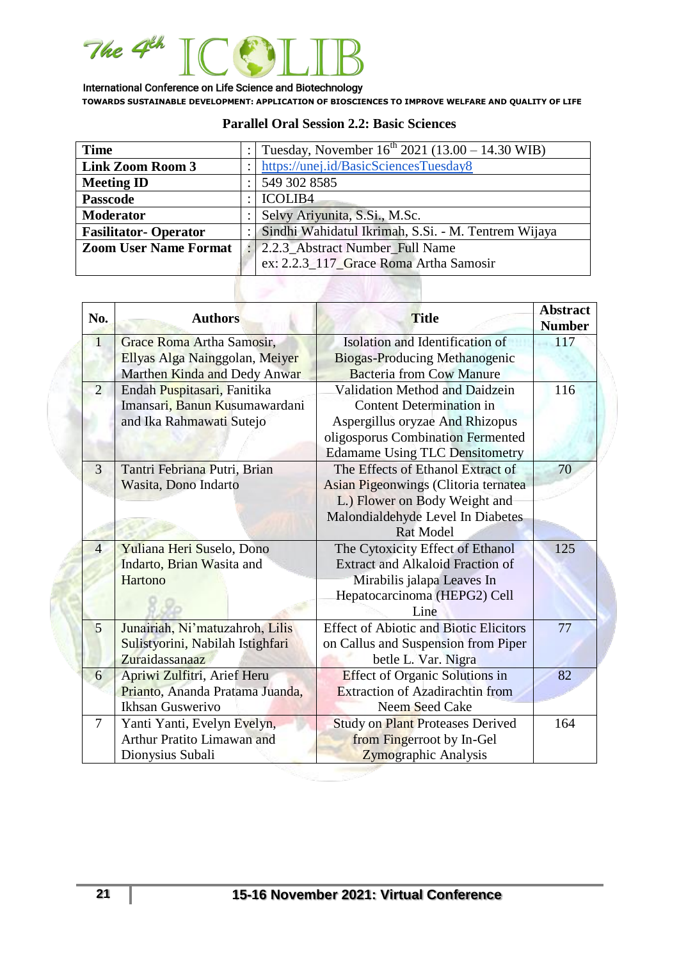

| <b>Time</b>                  |                               | Tuesday, November $16^{th}$ 2021 (13.00 – 14.30 WIB) |  |
|------------------------------|-------------------------------|------------------------------------------------------|--|
| <b>Link Zoom Room 3</b>      |                               | https://unej.id/BasicSciencesTuesday8                |  |
| <b>Meeting ID</b>            |                               | 549 302 8585                                         |  |
| <b>Passcode</b>              |                               | <b>ICOLIB4</b>                                       |  |
| <b>Moderator</b>             | Selvy Ariyunita, S.Si., M.Sc. |                                                      |  |
| <b>Fasilitator-Operator</b>  |                               | Sindhi Wahidatul Ikrimah, S.Si. - M. Tentrem Wijaya  |  |
| <b>Zoom User Name Format</b> |                               | 2.2.3_Abstract Number_Full Name                      |  |
|                              |                               | ex: 2.2.3_117_Grace Roma Artha Samosir               |  |

#### **Parallel Oral Session 2.2: Basic Sciences**

| No.            | <b>Authors</b>                   | <b>Title</b>                                  | <b>Abstract</b><br><b>Number</b> |
|----------------|----------------------------------|-----------------------------------------------|----------------------------------|
| $\vert$ 1      | Grace Roma Artha Samosir,        | Isolation and Identification of               | 117                              |
|                | Ellyas Alga Nainggolan, Meiyer   | Biogas-Producing Methanogenic                 |                                  |
|                | Marthen Kinda and Dedy Anwar     | <b>Bacteria from Cow Manure</b>               |                                  |
| $\overline{2}$ | Endah Puspitasari, Fanitika      | <b>Validation Method and Daidzein</b>         | 116                              |
|                | Imansari, Banun Kusumawardani    | <b>Content Determination in</b>               |                                  |
|                | and Ika Rahmawati Sutejo         | Aspergillus oryzae And Rhizopus               |                                  |
|                |                                  | oligosporus Combination Fermented             |                                  |
|                |                                  | <b>Edamame Using TLC Densitometry</b>         |                                  |
| 3              | Tantri Febriana Putri, Brian     | The Effects of Ethanol Extract of             | 70                               |
|                | Wasita, Dono Indarto             | Asian Pigeonwings (Clitoria ternatea          |                                  |
|                |                                  | L.) Flower on Body Weight and                 |                                  |
|                |                                  | Malondialdehyde Level In Diabetes             |                                  |
|                |                                  | <b>Rat Model</b>                              |                                  |
| $\overline{4}$ | Yuliana Heri Suselo, Dono        | The Cytoxicity Effect of Ethanol              | 125                              |
|                | Indarto, Brian Wasita and        | <b>Extract and Alkaloid Fraction of</b>       |                                  |
|                | Hartono                          | Mirabilis jalapa Leaves In                    |                                  |
|                |                                  | Hepatocarcinoma (HEPG2) Cell                  |                                  |
|                |                                  | Line                                          |                                  |
| 5              | Junairiah, Ni'matuzahroh, Lilis  | <b>Effect of Abiotic and Biotic Elicitors</b> | 77                               |
|                | Sulistyorini, Nabilah Istighfari | on Callus and Suspension from Piper           |                                  |
|                | Zuraidassanaaz                   | betle L. Var. Nigra                           |                                  |
| 6              | Apriwi Zulfitri, Arief Heru      | <b>Effect of Organic Solutions in</b>         | 82                               |
|                | Prianto, Ananda Pratama Juanda,  | <b>Extraction of Azadirachtin from</b>        |                                  |
|                | Ikhsan Guswerivo                 | Neem Seed Cake                                |                                  |
| $\overline{7}$ | Yanti Yanti, Evelyn Evelyn,      | <b>Study on Plant Proteases Derived</b>       | 164                              |
|                | Arthur Pratito Limawan and       | from Fingerroot by In-Gel                     |                                  |
|                | Dionysius Subali                 | Zymographic Analysis                          |                                  |